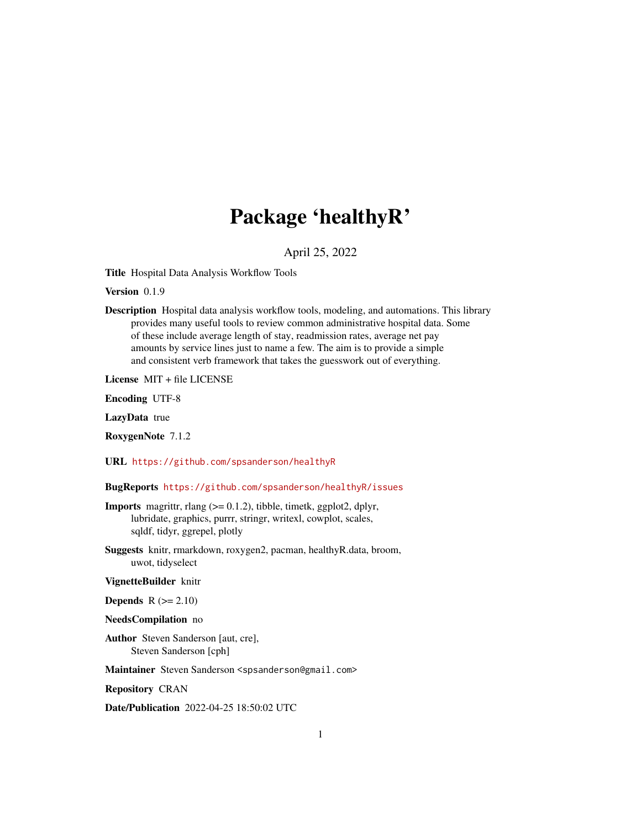# Package 'healthyR'

April 25, 2022

<span id="page-0-0"></span>Title Hospital Data Analysis Workflow Tools

Version 0.1.9

Description Hospital data analysis workflow tools, modeling, and automations. This library provides many useful tools to review common administrative hospital data. Some of these include average length of stay, readmission rates, average net pay amounts by service lines just to name a few. The aim is to provide a simple and consistent verb framework that takes the guesswork out of everything.

License MIT + file LICENSE

Encoding UTF-8

LazyData true

RoxygenNote 7.1.2

URL <https://github.com/spsanderson/healthyR>

BugReports <https://github.com/spsanderson/healthyR/issues>

- **Imports** magrittr, rlang  $(>= 0.1.2)$ , tibble, timetk, ggplot2, dplyr, lubridate, graphics, purrr, stringr, writexl, cowplot, scales, sqldf, tidyr, ggrepel, plotly
- Suggests knitr, rmarkdown, roxygen2, pacman, healthyR.data, broom, uwot, tidyselect

VignetteBuilder knitr

Depends  $R (= 2.10)$ 

NeedsCompilation no

Author Steven Sanderson [aut, cre], Steven Sanderson [cph]

Maintainer Steven Sanderson <spsanderson@gmail.com>

Repository CRAN

Date/Publication 2022-04-25 18:50:02 UTC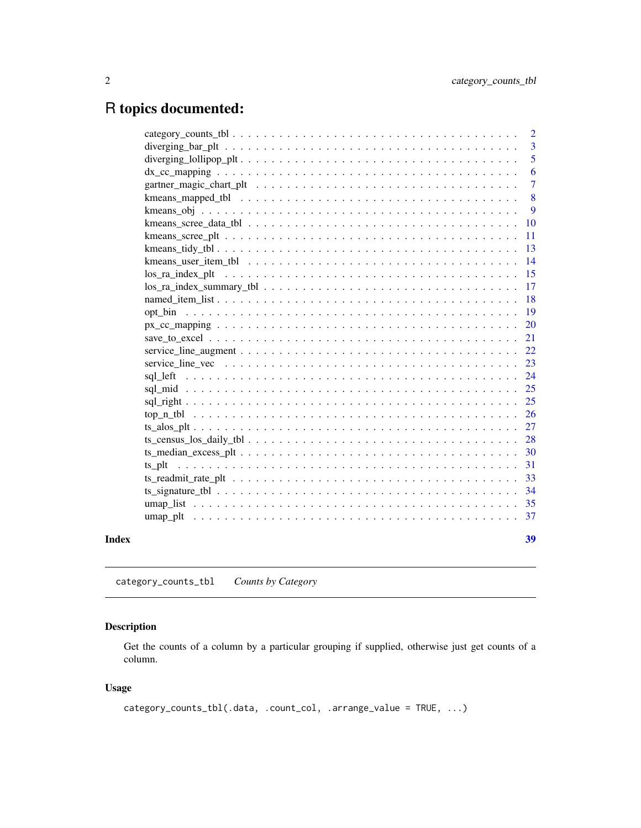# <span id="page-1-0"></span>R topics documented:

|       |                                                                                                                                                                                                                                                                                                                                     | $\overline{2}$ |
|-------|-------------------------------------------------------------------------------------------------------------------------------------------------------------------------------------------------------------------------------------------------------------------------------------------------------------------------------------|----------------|
|       | diverging $bar_p$ $\lbrack$ $\lbrack$ $\lbrack$ $\lbrack$ $\lbrack$ $\ldots$ $\lbrack \lbrack$ $\ldots$ $\lbrack \lbrack \lbrack$ $\lbrack$ $\ldots$ $\lbrack \lbrack$ $\lbrack$ $\lbrack$ $\lbrack$ $\lbrack$ $\lbrack$ $\lbrack$ $\lbrack$ $\lbrack$ $\lbrack$ $\lbrack$ $\lbrack$ $\lbrack$ $\lbrack$ $\lbrack$ $\lbrack$ $\lbr$ | 3              |
|       |                                                                                                                                                                                                                                                                                                                                     | 5              |
|       |                                                                                                                                                                                                                                                                                                                                     | 6              |
|       |                                                                                                                                                                                                                                                                                                                                     | $\overline{7}$ |
|       |                                                                                                                                                                                                                                                                                                                                     | 8              |
|       |                                                                                                                                                                                                                                                                                                                                     | 9              |
|       |                                                                                                                                                                                                                                                                                                                                     | <b>10</b>      |
|       |                                                                                                                                                                                                                                                                                                                                     | 11             |
|       |                                                                                                                                                                                                                                                                                                                                     | 13             |
|       |                                                                                                                                                                                                                                                                                                                                     | 14             |
|       |                                                                                                                                                                                                                                                                                                                                     | 15             |
|       | $\log_{10}$ ra_index_summary_tbl $\ldots \ldots \ldots \ldots \ldots \ldots \ldots \ldots \ldots \ldots \ldots \ldots$                                                                                                                                                                                                              | 17             |
|       |                                                                                                                                                                                                                                                                                                                                     | 18             |
|       |                                                                                                                                                                                                                                                                                                                                     | 19             |
|       |                                                                                                                                                                                                                                                                                                                                     | <b>20</b>      |
|       |                                                                                                                                                                                                                                                                                                                                     | 21             |
|       |                                                                                                                                                                                                                                                                                                                                     | 22             |
|       |                                                                                                                                                                                                                                                                                                                                     | 23             |
|       |                                                                                                                                                                                                                                                                                                                                     | 24             |
|       |                                                                                                                                                                                                                                                                                                                                     | 25             |
|       |                                                                                                                                                                                                                                                                                                                                     |                |
|       |                                                                                                                                                                                                                                                                                                                                     | - 26           |
|       |                                                                                                                                                                                                                                                                                                                                     | 27             |
|       |                                                                                                                                                                                                                                                                                                                                     | 28             |
|       |                                                                                                                                                                                                                                                                                                                                     | 30             |
|       |                                                                                                                                                                                                                                                                                                                                     | 31             |
|       | ts_readmit_rate_plt $\dots \dots \dots \dots \dots \dots \dots \dots \dots \dots \dots \dots \dots \dots \dots \dots \dots \dots$                                                                                                                                                                                                   | 33             |
|       |                                                                                                                                                                                                                                                                                                                                     | 34             |
|       |                                                                                                                                                                                                                                                                                                                                     | 35             |
|       |                                                                                                                                                                                                                                                                                                                                     |                |
|       |                                                                                                                                                                                                                                                                                                                                     |                |
| Index |                                                                                                                                                                                                                                                                                                                                     | 39             |

category\_counts\_tbl *Counts by Category*

# Description

Get the counts of a column by a particular grouping if supplied, otherwise just get counts of a column.

# Usage

```
category_counts_tbl(.data, .count_col, .arrange_value = TRUE, ...)
```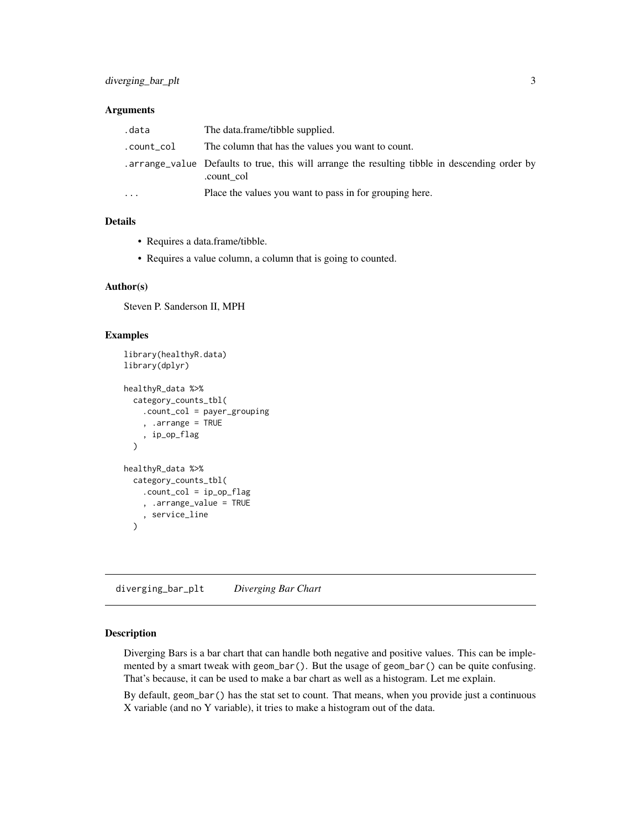# <span id="page-2-0"></span>Arguments

| .data      | The data.frame/tibble supplied.                                                                             |
|------------|-------------------------------------------------------------------------------------------------------------|
| .count_col | The column that has the values you want to count.                                                           |
|            | arrange_value Defaults to true, this will arrange the resulting tibble in descending order by<br>.count col |
| .          | Place the values you want to pass in for grouping here.                                                     |

# Details

- Requires a data.frame/tibble.
- Requires a value column, a column that is going to counted.

#### Author(s)

Steven P. Sanderson II, MPH

#### Examples

```
library(healthyR.data)
library(dplyr)
healthyR_data %>%
  category_counts_tbl(
    .count_col = payer_grouping
    , .arrange = TRUE
    , ip_op_flag
  \lambdahealthyR_data %>%
  category_counts_tbl(
    .count_col = ip_op_flag
    , .arrange_value = TRUE
    , service_line
  )
```
diverging\_bar\_plt *Diverging Bar Chart*

#### Description

Diverging Bars is a bar chart that can handle both negative and positive values. This can be implemented by a smart tweak with geom\_bar(). But the usage of geom\_bar() can be quite confusing. That's because, it can be used to make a bar chart as well as a histogram. Let me explain.

By default, geom\_bar() has the stat set to count. That means, when you provide just a continuous X variable (and no Y variable), it tries to make a histogram out of the data.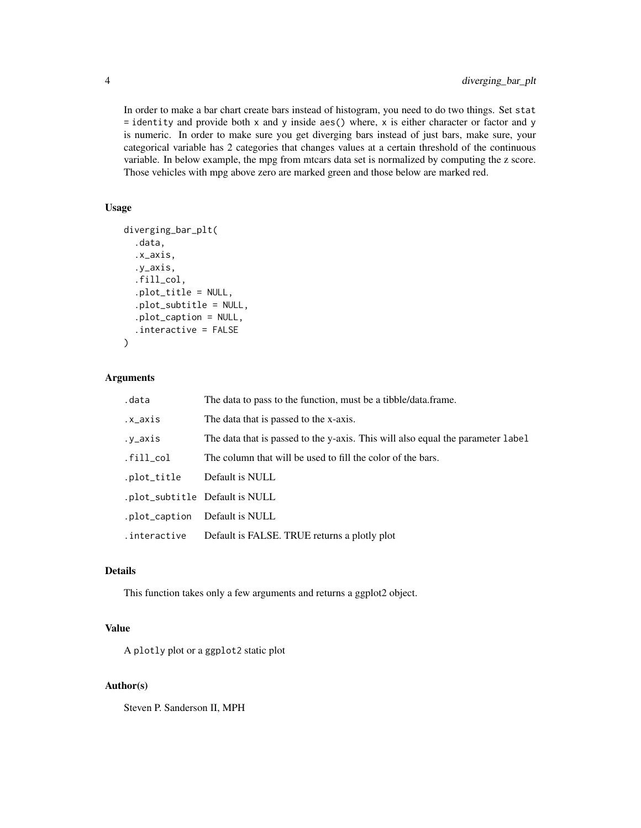In order to make a bar chart create bars instead of histogram, you need to do two things. Set stat  $=$  identity and provide both x and y inside aes() where, x is either character or factor and y is numeric. In order to make sure you get diverging bars instead of just bars, make sure, your categorical variable has 2 categories that changes values at a certain threshold of the continuous variable. In below example, the mpg from mtcars data set is normalized by computing the z score. Those vehicles with mpg above zero are marked green and those below are marked red.

# Usage

```
diverging_bar_plt(
  .data,
  .x_axis,
  .y_axis,
  .fill_col,
  .plot_title = NULL,
  .plot_subtitle = NULL,
  .plot_caption = NULL,
  .interactive = FALSE
\lambda
```
#### Arguments

| .data         | The data to pass to the function, must be a tibble/data.frame.                  |
|---------------|---------------------------------------------------------------------------------|
| .x_axis       | The data that is passed to the x-axis.                                          |
| .y_axis       | The data that is passed to the y-axis. This will also equal the parameter label |
| $fill_{col}$  | The column that will be used to fill the color of the bars.                     |
| .plot_title   | Default is NULL                                                                 |
|               | .plot_subtitle Default is NULL                                                  |
| .plot_caption | Default is NULL                                                                 |
| .interactive  | Default is FALSE. TRUE returns a plotly plot                                    |

# Details

This function takes only a few arguments and returns a ggplot2 object.

### Value

A plotly plot or a ggplot2 static plot

# Author(s)

Steven P. Sanderson II, MPH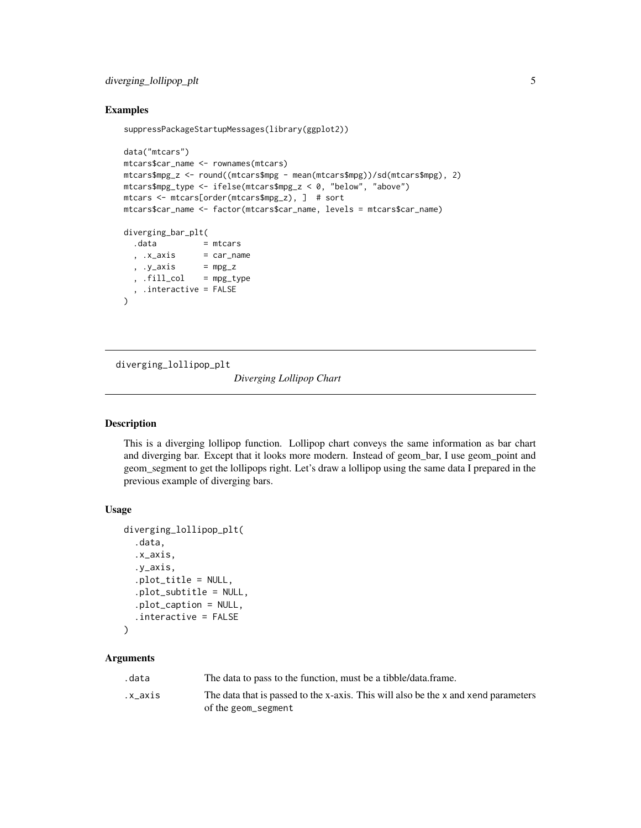# <span id="page-4-0"></span>diverging\_lollipop\_plt 5

#### Examples

```
suppressPackageStartupMessages(library(ggplot2))
```

```
data("mtcars")
mtcars$car_name <- rownames(mtcars)
mtcars$mpg_z <- round((mtcars$mpg - mean(mtcars$mpg))/sd(mtcars$mpg), 2)
mtcars$mpg_type <- ifelse(mtcars$mpg_z < 0, "below", "above")
mtcars <- mtcars[order(mtcars$mpg_z), ] # sort
mtcars$car_name <- factor(mtcars$car_name, levels = mtcars$car_name)
diverging_bar_plt(
 .data = mtcars
  , .x_axis = car_name, .y_axis = mpg_z, fill\_col = mpg\_type, .interactive = FALSE
\lambda
```
diverging\_lollipop\_plt

*Diverging Lollipop Chart*

# Description

This is a diverging lollipop function. Lollipop chart conveys the same information as bar chart and diverging bar. Except that it looks more modern. Instead of geom\_bar, I use geom\_point and geom\_segment to get the lollipops right. Let's draw a lollipop using the same data I prepared in the previous example of diverging bars.

#### Usage

```
diverging_lollipop_plt(
  .data,
  .x_axis,
  .y_axis,
  .plot_title = NULL,
  .plot_subtitle = NULL,
  .plot_caption = NULL,
  .interactive = FALSE
\lambda
```
#### Arguments

| .data   | The data to pass to the function, must be a tibble/data.frame.                     |
|---------|------------------------------------------------------------------------------------|
| .x axis | The data that is passed to the x-axis. This will also be the x and xend parameters |
|         | of the geom_segment                                                                |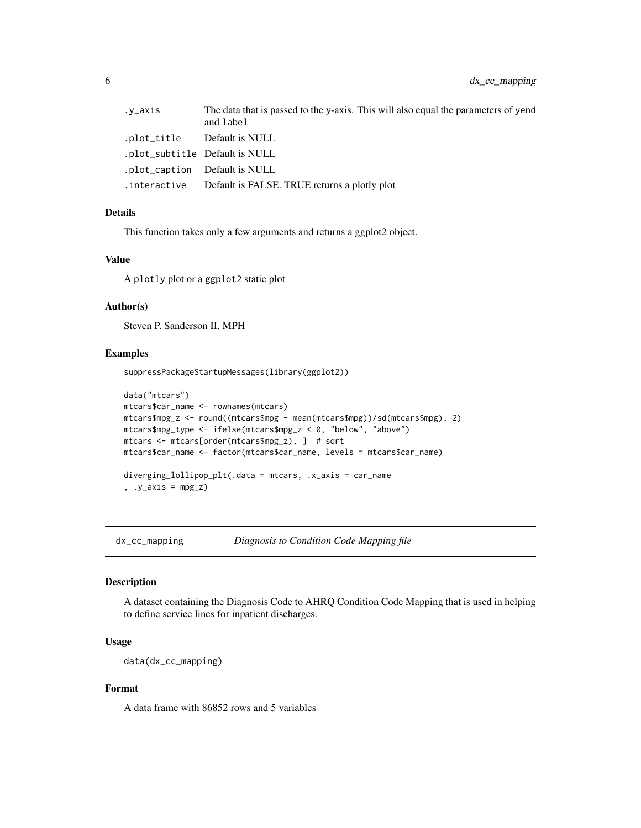<span id="page-5-0"></span>

| .y_axis     | The data that is passed to the y-axis. This will also equal the parameters of yend<br>and label |
|-------------|-------------------------------------------------------------------------------------------------|
| .plot_title | Default is NULL                                                                                 |
|             | .plot_subtitle Default is NULL                                                                  |
|             | .plot_caption Default is NULL                                                                   |
|             | . interactive Default is FALSE. TRUE returns a plotly plot                                      |

This function takes only a few arguments and returns a ggplot2 object.

#### Value

A plotly plot or a ggplot2 static plot

#### Author(s)

Steven P. Sanderson II, MPH

#### Examples

suppressPackageStartupMessages(library(ggplot2))

```
data("mtcars")
mtcars$car_name <- rownames(mtcars)
mtcars$mpg_z <- round((mtcars$mpg - mean(mtcars$mpg))/sd(mtcars$mpg), 2)
mtcars$mpg_type <- ifelse(mtcars$mpg_z < 0, "below", "above")
mtcars <- mtcars[order(mtcars$mpg_z), ] # sort
mtcars$car_name <- factor(mtcars$car_name, levels = mtcars$car_name)
diverging_lollipop_plt(.data = mtcars, .x_axis = car_name
, .y_axis = mpg_z)
```
dx\_cc\_mapping *Diagnosis to Condition Code Mapping file*

#### Description

A dataset containing the Diagnosis Code to AHRQ Condition Code Mapping that is used in helping to define service lines for inpatient discharges.

#### Usage

data(dx\_cc\_mapping)

# Format

A data frame with 86852 rows and 5 variables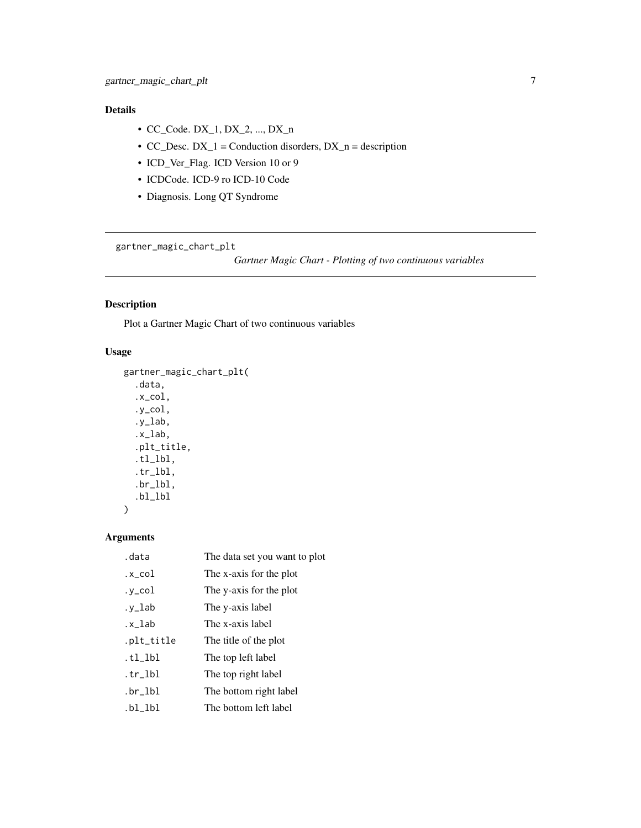- <span id="page-6-0"></span>• CC\_Code. DX\_1, DX\_2, ..., DX\_n
- CC\_Desc.  $DX_1$  = Conduction disorders,  $DX_n$  = description
- ICD\_Ver\_Flag. ICD Version 10 or 9
- ICDCode. ICD-9 ro ICD-10 Code
- Diagnosis. Long QT Syndrome

gartner\_magic\_chart\_plt

*Gartner Magic Chart - Plotting of two continuous variables*

# Description

Plot a Gartner Magic Chart of two continuous variables

# Usage

```
gartner_magic_chart_plt(
  .data,
  .x_col,
  .y_col,
  .y_lab,
  .x_lab,
  .plt_title,
  .tl_lbl,
  .tr_lbl,
  .br_lbl,
  .bl_lbl
)
```
### Arguments

| .data      | The data set you want to plot |
|------------|-------------------------------|
| .x_col     | The x-axis for the plot       |
| .y_col     | The y-axis for the plot       |
| .y_lab     | The y-axis label              |
| .x_lab     | The x-axis label              |
| .plt_title | The title of the plot         |
| .tl_lbl    | The top left label            |
| .tr_lbl    | The top right label           |
| .br_lbl    | The bottom right label        |
| .bl_lbl    | The bottom left label         |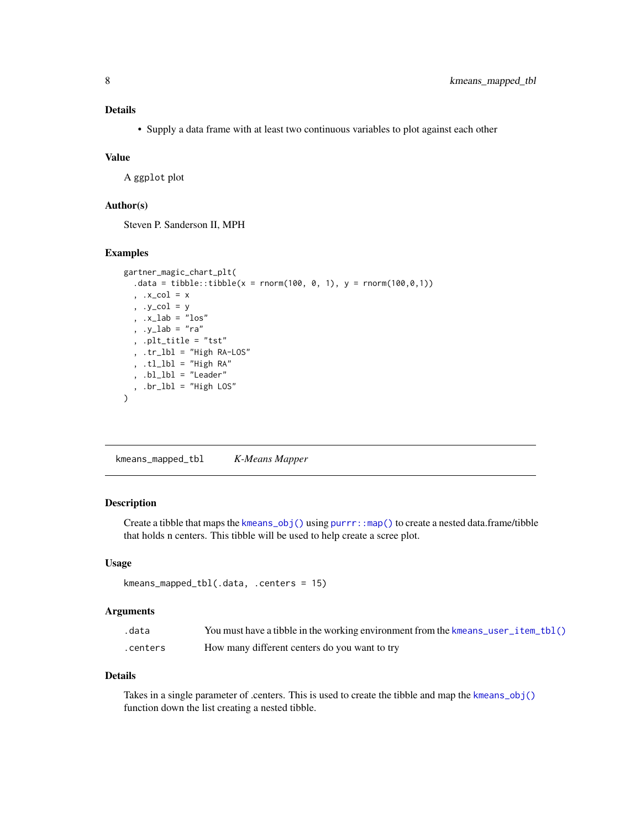<span id="page-7-0"></span>• Supply a data frame with at least two continuous variables to plot against each other

#### Value

A ggplot plot

#### Author(s)

Steven P. Sanderson II, MPH

#### Examples

```
gartner_magic_chart_plt(
 data = tibble::tibble(x = rnorm(100, 0, 1), y = rnorm(100, 0, 1)), .x\_col = x, .y_col = y
 , .x\_lab = "los", .y_lab = "ra"
  , .plt_title = "tst"
  , .tr_lbl = "High RA-LOS"
 , .tl_lbl = "High RA"
 , .bl_lbl = "Leader"
 , .br_lbl = "High LOS"
\overline{)}
```
<span id="page-7-1"></span>kmeans\_mapped\_tbl *K-Means Mapper*

#### Description

Create a tibble that maps the [kmeans\\_obj\(\)](#page-8-1) using [purrr::map\(\)](#page-0-0) to create a nested data.frame/tibble that holds n centers. This tibble will be used to help create a scree plot.

# Usage

```
kmeans_mapped_tbl(.data, .centers = 15)
```
#### Arguments

| .data    | You must have a tibble in the working environment from the kmeans_user_item_tbl() |
|----------|-----------------------------------------------------------------------------------|
| .centers | How many different centers do you want to try                                     |

#### Details

Takes in a single parameter of .centers. This is used to create the tibble and map the [kmeans\\_obj\(\)](#page-8-1) function down the list creating a nested tibble.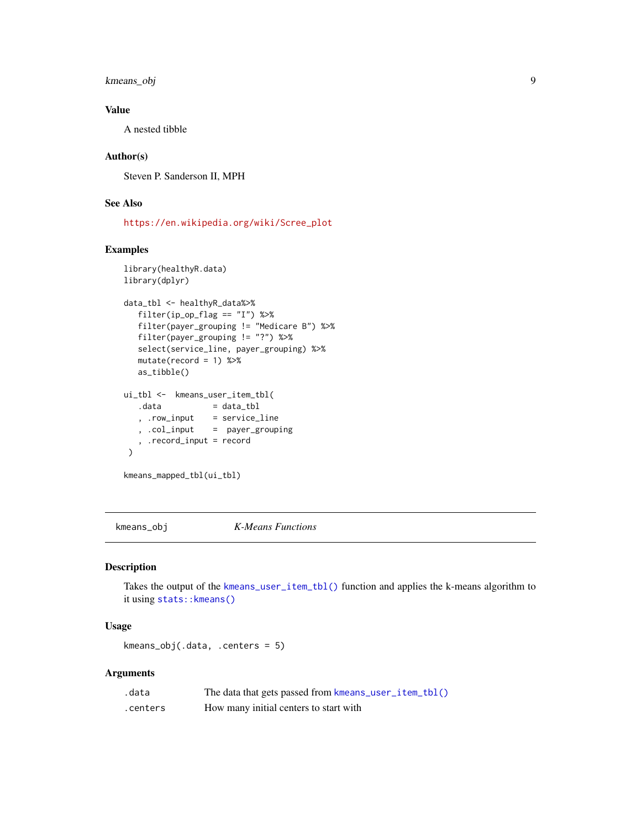<span id="page-8-0"></span>kmeans\_obj 9

# Value

A nested tibble

# Author(s)

Steven P. Sanderson II, MPH

# See Also

[https://en.wikipedia.org/wiki/Scree\\_plot](https://en.wikipedia.org/wiki/Scree_plot)

# Examples

```
library(healthyR.data)
library(dplyr)
data_tbl <- healthyR_data%>%
  filter(ip_op_flag == "I") %>%
  filter(payer_grouping != "Medicare B") %>%
  filter(payer_grouping != "?") %>%
  select(service_line, payer_grouping) %>%
  mutate(record = 1) %>%
  as_tibble()
ui_tbl <- kmeans_user_item_tbl(
  data = data_tbl
   , .row_input = service_line
   , .col_input = payer_grouping
   , .record_input = record
\lambda
```
kmeans\_mapped\_tbl(ui\_tbl)

<span id="page-8-1"></span>kmeans\_obj *K-Means Functions*

#### Description

Takes the output of the [kmeans\\_user\\_item\\_tbl\(\)](#page-13-1) function and applies the k-means algorithm to it using [stats::kmeans\(\)](#page-0-0)

# Usage

kmeans\_obj(.data, .centers = 5)

# Arguments

| .data    | The data that gets passed from kmeans_user_item_tbl() |
|----------|-------------------------------------------------------|
| .centers | How many initial centers to start with                |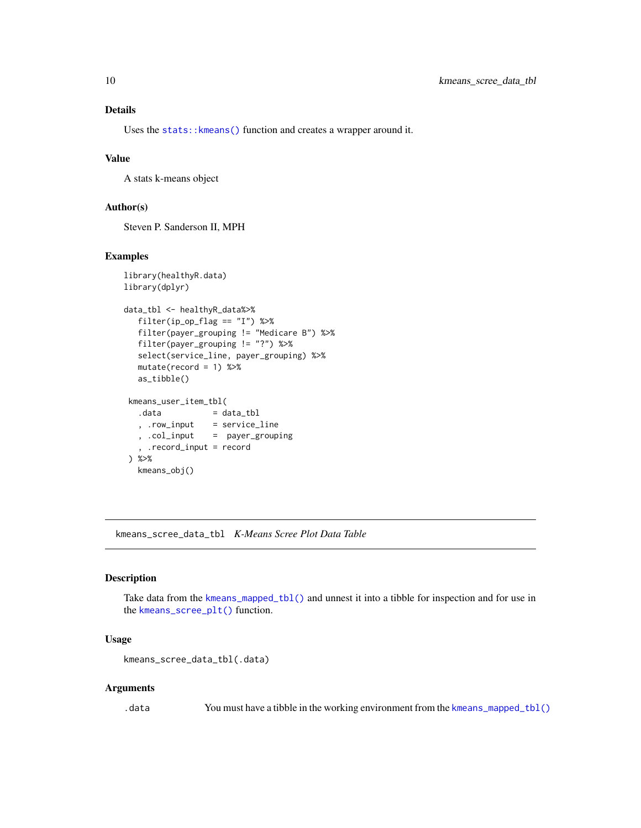<span id="page-9-0"></span>Uses the [stats::kmeans\(\)](#page-0-0) function and creates a wrapper around it.

#### Value

A stats k-means object

# Author(s)

Steven P. Sanderson II, MPH

#### Examples

```
library(healthyR.data)
library(dplyr)
data_tbl <- healthyR_data%>%
  filter(ip_op_flag == "I") %>%
  filter(payer_grouping != "Medicare B") %>%
  filter(payer_grouping != "?") %>%
  select(service_line, payer_grouping) %>%
  mutate(record = 1) %>%
  as_tibble()
kmeans_user_item_tbl(
  data = data_tbl
  , .row_input = service_line
                = payer_grouping
  , .record_input = record
) %>%
  kmeans_obj()
```
kmeans\_scree\_data\_tbl *K-Means Scree Plot Data Table*

# Description

Take data from the [kmeans\\_mapped\\_tbl\(\)](#page-7-1) and unnest it into a tibble for inspection and for use in the [kmeans\\_scree\\_plt\(\)](#page-10-1) function.

#### Usage

kmeans\_scree\_data\_tbl(.data)

#### Arguments

.data You must have a tibble in the working environment from the [kmeans\\_mapped\\_tbl\(\)](#page-7-1)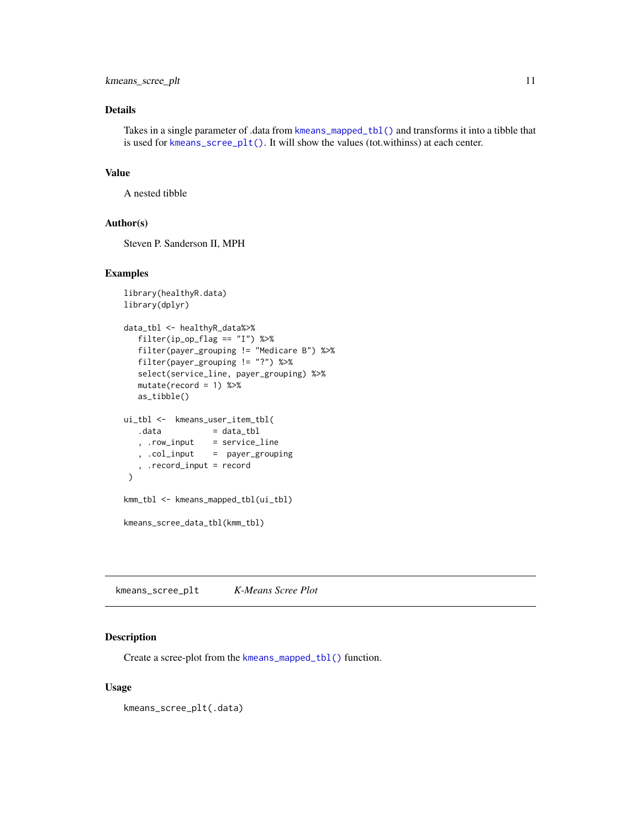<span id="page-10-0"></span>Takes in a single parameter of .data from [kmeans\\_mapped\\_tbl\(\)](#page-7-1) and transforms it into a tibble that is used for [kmeans\\_scree\\_plt\(\)](#page-10-1). It will show the values (tot.withinss) at each center.

#### Value

A nested tibble

#### Author(s)

Steven P. Sanderson II, MPH

#### Examples

```
library(healthyR.data)
library(dplyr)
data_tbl <- healthyR_data%>%
  filter(ip_op_flag == "I") %>%
  filter(payer_grouping != "Medicare B") %>%
  filter(payer_grouping != "?") %>%
  select(service_line, payer_grouping) %>%
  mutate(record = 1) %>%
  as_tibble()
ui_tbl <- kmeans_user_item_tbl(
  data = data_tbl
   , .row_input = service_line
  , .col_input = payer_grouping
   , .record_input = record
\mathcal{L}kmm_tbl <- kmeans_mapped_tbl(ui_tbl)
kmeans_scree_data_tbl(kmm_tbl)
```
<span id="page-10-1"></span>kmeans\_scree\_plt *K-Means Scree Plot*

#### Description

Create a scree-plot from the [kmeans\\_mapped\\_tbl\(\)](#page-7-1) function.

#### Usage

kmeans\_scree\_plt(.data)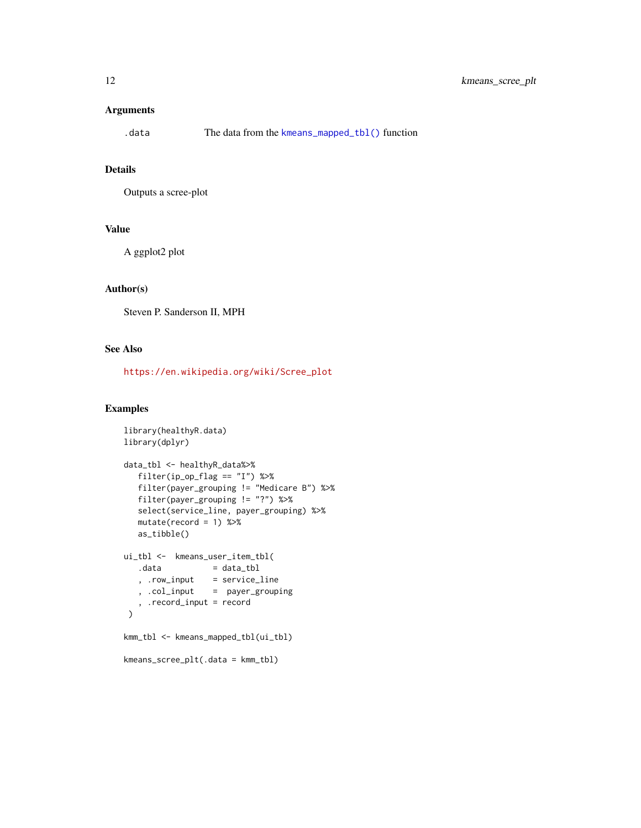# <span id="page-11-0"></span>Arguments

# Details

Outputs a scree-plot

#### Value

A ggplot2 plot

#### Author(s)

Steven P. Sanderson II, MPH

# See Also

[https://en.wikipedia.org/wiki/Scree\\_plot](https://en.wikipedia.org/wiki/Scree_plot)

### Examples

```
library(healthyR.data)
library(dplyr)
data_tbl <- healthyR_data%>%
  filter(ip_op_flag == "I") %>%
  filter(payer_grouping != "Medicare B") %>%
   filter(payer_grouping != "?") %>%
   select(service_line, payer_grouping) %>%
  mutate(record = 1) %>%
  as_tibble()
ui_tbl <- kmeans_user_item_tbl(
   .data = data_tbl<br>, .row_input = service_
                  = service_line
   , .col_input = payer_grouping
   , .record_input = record
 \mathcal{L}kmm_tbl <- kmeans_mapped_tbl(ui_tbl)
kmeans_scree_plt(.data = kmm_tbl)
```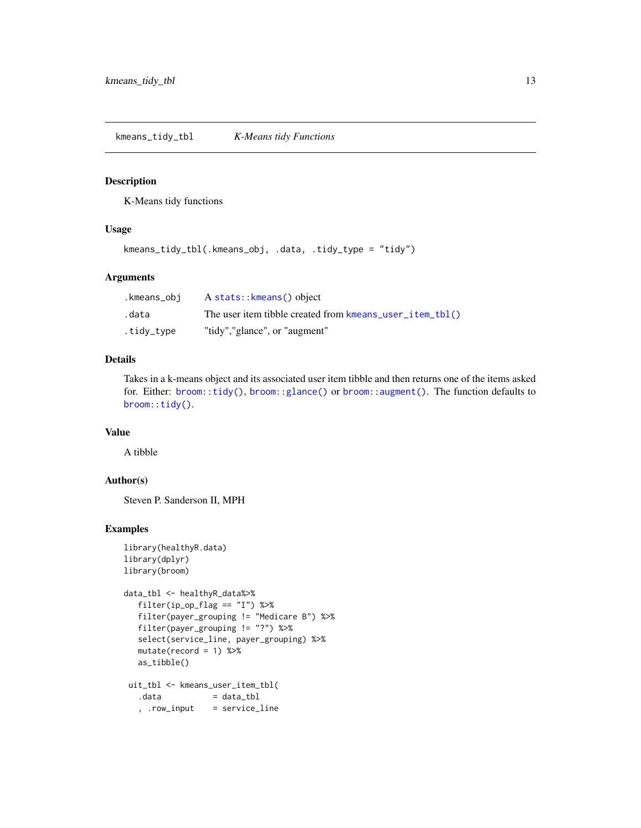<span id="page-12-0"></span>kmeans\_tidy\_tbl *K-Means tidy Functions*

#### Description

K-Means tidy functions

# Usage

```
kmeans_tidy_tbl(.kmeans_obj, .data, .tidy_type = "tidy")
```
# Arguments

| .kmeans_obi | A stats:: kmeans() object                                |
|-------------|----------------------------------------------------------|
| .data       | The user item tibble created from kmeans_user_item_tbl() |
| .tidy_type  | "tidy","glance", or "augment"                            |

# Details

Takes in a k-means object and its associated user item tibble and then returns one of the items asked for. Either: [broom::tidy\(\)](#page-0-0), [broom::glance\(\)](#page-0-0) or [broom::augment\(\)](#page-0-0). The function defaults to [broom::tidy\(\)](#page-0-0).

# Value

A tibble

#### Author(s)

Steven P. Sanderson II, MPH

# Examples

```
library(healthyR.data)
library(dplyr)
library(broom)
data_tbl <- healthyR_data%>%
   filter(ip_op_flag == "I") %>%
   filter(payer_grouping != "Medicare B") %>%
   filter(payer_grouping != "?") %>%
   select(service_line, payer_grouping) %>%
   mutate(record = 1) %>%
   as_tibble()
 uit_tbl <- kmeans_user_item_tbl(
                  = data_{\text{ubl}}, .row_input = service_line
```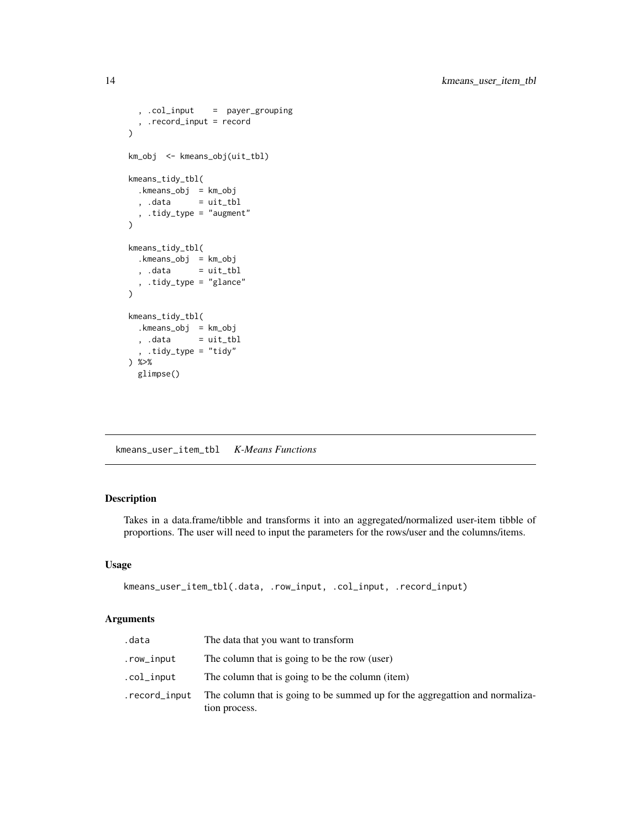```
, .col_input = payer_grouping
  , .record_input = record
)
km_obj <- kmeans_obj(uit_tbl)
kmeans_tidy_tbl(
 .kmeans_obj = km_obj
 , data = uit_tbl, .tidy_type = "augment"
\mathcal{L}kmeans_tidy_tbl(
 .kmeans_obj = km_obj
  , .data = uit_tbl, .tidy_type = "glance"
\lambdakmeans_tidy_tbl(
 .kmeans_obj = km_obj
 , .data = uit_tbl, .tidy_type = "tidy"
) %>%
 glimpse()
```
<span id="page-13-1"></span>kmeans\_user\_item\_tbl *K-Means Functions*

# Description

Takes in a data.frame/tibble and transforms it into an aggregated/normalized user-item tibble of proportions. The user will need to input the parameters for the rows/user and the columns/items.

#### Usage

```
kmeans_user_item_tbl(.data, .row_input, .col_input, .record_input)
```
#### Arguments

| .data         | The data that you want to transform                                                           |
|---------------|-----------------------------------------------------------------------------------------------|
| .row_input    | The column that is going to be the row (user)                                                 |
| .col_input    | The column that is going to be the column (item)                                              |
| .record_input | The column that is going to be summed up for the aggregattion and normaliza-<br>tion process. |

<span id="page-13-0"></span>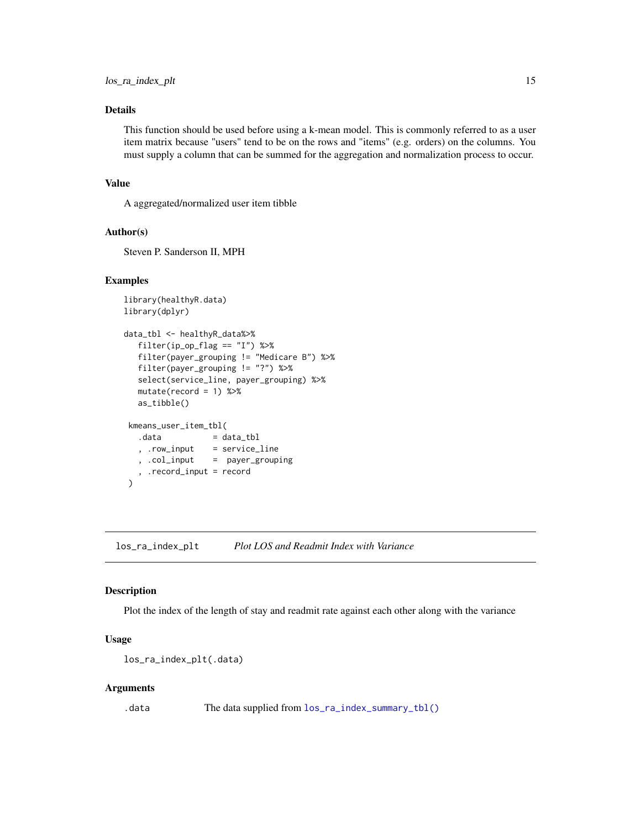<span id="page-14-0"></span>This function should be used before using a k-mean model. This is commonly referred to as a user item matrix because "users" tend to be on the rows and "items" (e.g. orders) on the columns. You must supply a column that can be summed for the aggregation and normalization process to occur.

# Value

A aggregated/normalized user item tibble

#### Author(s)

Steven P. Sanderson II, MPH

#### Examples

```
library(healthyR.data)
library(dplyr)
data_tbl <- healthyR_data%>%
  filter(ip_op_flag == "I") %>%
  filter(payer_grouping != "Medicare B") %>%
  filter(payer_grouping != "?") %>%
  select(service_line, payer_grouping) %>%
  mutate(record = 1) %>%
  as_tibble()
kmeans_user_item_tbl(
  data = data_tbl
  , .row_input = service_line
   , .col_input = payer_grouping
   , .record_input = record
\lambda
```
los\_ra\_index\_plt *Plot LOS and Readmit Index with Variance*

#### Description

Plot the index of the length of stay and readmit rate against each other along with the variance

#### Usage

```
los_ra_index_plt(.data)
```
#### Arguments

.data The data supplied from  $los\_ra\_index\_summary\_tol()$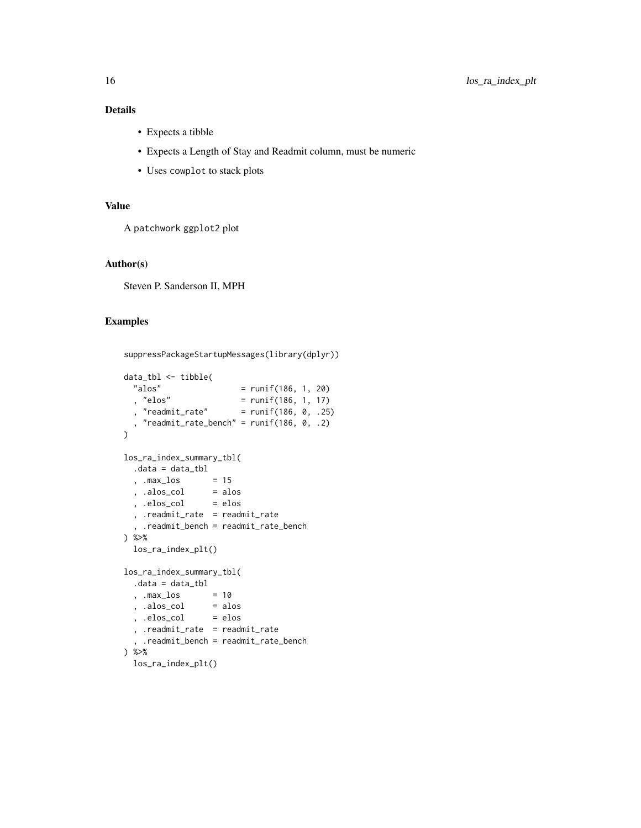- Expects a tibble
- Expects a Length of Stay and Readmit column, must be numeric
- Uses cowplot to stack plots

# Value

A patchwork ggplot2 plot

# Author(s)

Steven P. Sanderson II, MPH

# Examples

```
suppressPackageStartupMessages(library(dplyr))
data_tbl <- tibble(
  "alos" = runif(186, 1, 20)<br>"elos" = runif(186, 1, 17)
  , "elos" = runif(186, 1, 17)
  , "readmit_rate" = runif(186, 0, .25)
  , "readmit_rate_bench" = runif(186, 0, .2)
\lambdalos_ra_index_summary_tbl(
  .data = data_tbl<br>, .max_los = 15<br>, .alos_col = alos<br>, .elos_col = elos
  , .max_loss, .alos_col
  , .elos_col
  , .readmit_rate = readmit_rate
   , .readmit_bench = readmit_rate_bench
) %>%
  los_ra_index_plt()
los_ra_index_summary_tbl(
  .data = data_tbl
  , .max_los = 10<br>, .alos_col = alos<br>, .elos_col = elos
  , .alos_col
  , .elos_col
  , .readmit_rate = readmit_rate
  , .readmit_bench = readmit_rate_bench
) %>%
  los_ra_index_plt()
```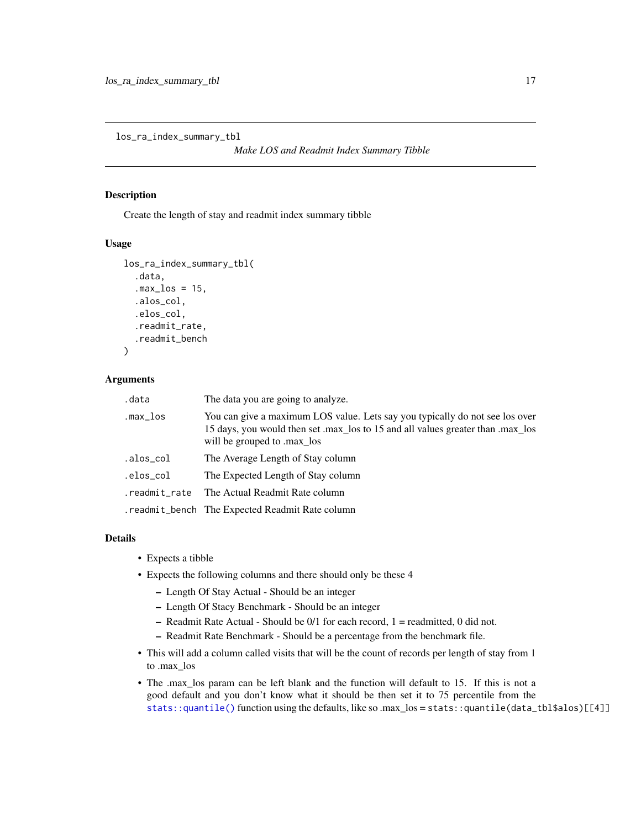<span id="page-16-1"></span><span id="page-16-0"></span>los\_ra\_index\_summary\_tbl

*Make LOS and Readmit Index Summary Tibble*

### Description

Create the length of stay and readmit index summary tibble

#### Usage

```
los_ra_index_summary_tbl(
  .data,
  .max_loss = 15,.alos_col,
  .elos_col,
  .readmit_rate,
  .readmit_bench
)
```
# Arguments

| .data         | The data you are going to analyze.                                                                                                                                                             |
|---------------|------------------------------------------------------------------------------------------------------------------------------------------------------------------------------------------------|
| .max_los      | You can give a maximum LOS value. Lets say you typically do not see los over<br>15 days, you would then set .max_los to 15 and all values greater than .max_los<br>will be grouped to .max_los |
| .alos_col     | The Average Length of Stay column                                                                                                                                                              |
| .elos_col     | The Expected Length of Stay column                                                                                                                                                             |
| .readmit_rate | The Actual Readmit Rate column                                                                                                                                                                 |
|               | . readmit_bench The Expected Readmit Rate column                                                                                                                                               |

#### Details

- Expects a tibble
- Expects the following columns and there should only be these 4
	- Length Of Stay Actual Should be an integer
	- Length Of Stacy Benchmark Should be an integer
	- $-$  Readmit Rate Actual Should be  $0/1$  for each record,  $1 =$  readmitted, 0 did not.
	- Readmit Rate Benchmark Should be a percentage from the benchmark file.
- This will add a column called visits that will be the count of records per length of stay from 1 to .max\_los
- The .max\_los param can be left blank and the function will default to 15. If this is not a good default and you don't know what it should be then set it to 75 percentile from the [stats::quantile\(\)](#page-0-0) function using the defaults, like so .max\_los = stats::quantile(data\_tbl\$alos)[[4]]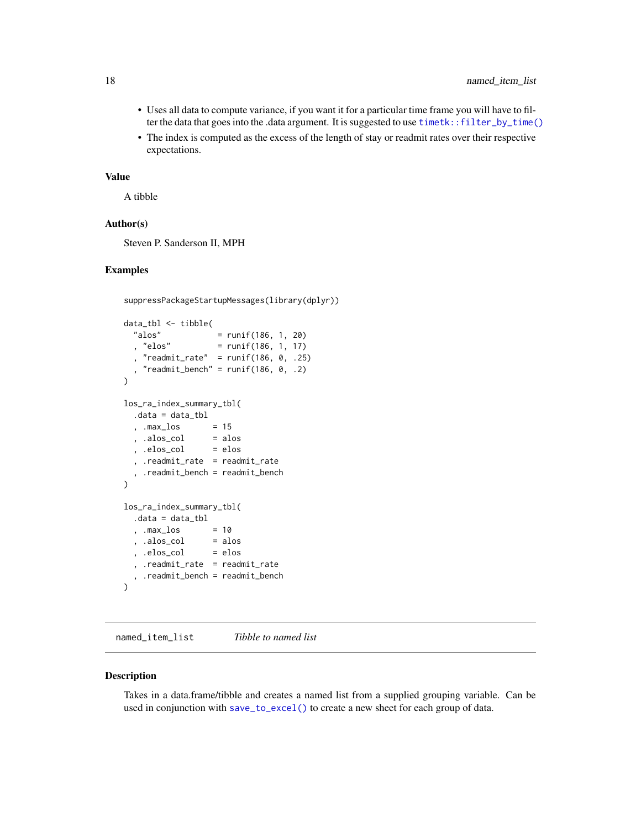- <span id="page-17-0"></span>• Uses all data to compute variance, if you want it for a particular time frame you will have to filter the data that goes into the .data argument. It is suggested to use [timetk::filter\\_by\\_time\(\)](#page-0-0)
- The index is computed as the excess of the length of stay or readmit rates over their respective expectations.

#### Value

A tibble

# Author(s)

Steven P. Sanderson II, MPH

#### Examples

```
suppressPackageStartupMessages(library(dplyr))
```

```
data_tbl <- tibble(
  "alos" = runif(186, 1, 20)<br>, "elos" = runif(186, 1, 17)
                     = runif(186, 1, 17)"readmit_rate" = runif(186, 0, .25)"readmit_bench" = runif(186, 0, .2)\overline{)}los_ra_index_summary_tbl(
  .data = data_tbl
  , .max\_{\text{los}} = 15
  , a \log_{10} = a \log_{10}, .elos_col = elos
  , .readmit_rate = readmit_rate
  , .readmit_bench = readmit_bench
\mathcal{L}los_ra_index_summary_tbl(
  .data = data_tbl
  , .max\_{\text{los}} = 10
  , .alos_col = alos
  , .elos_col = elos
  , .readmit_rate = readmit_rate
  , .readmit_bench = readmit_bench
\overline{)}
```
named\_item\_list *Tibble to named list*

#### Description

Takes in a data.frame/tibble and creates a named list from a supplied grouping variable. Can be used in conjunction with [save\\_to\\_excel\(\)](#page-20-1) to create a new sheet for each group of data.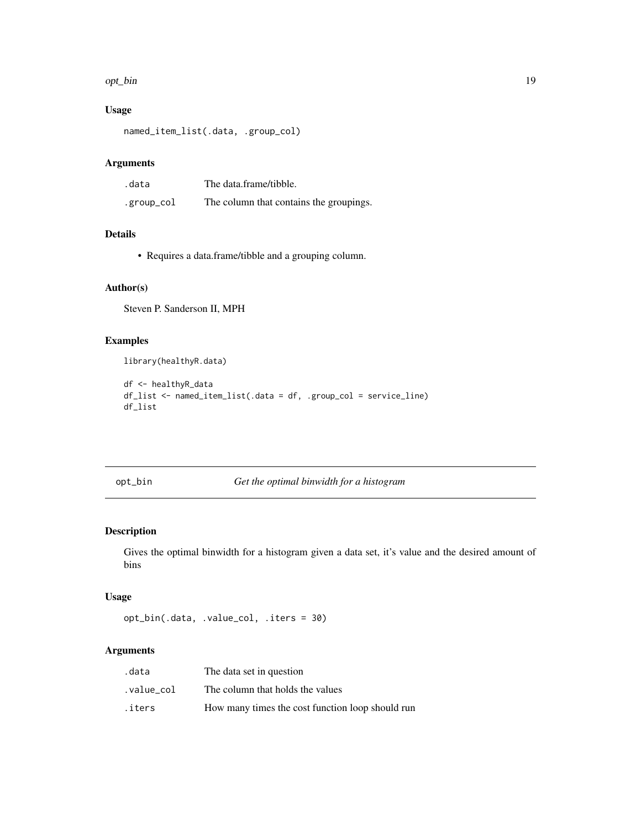#### <span id="page-18-0"></span>opt\_bin the contract of the contract of the contract of the contract of the contract of the contract of the contract of the contract of the contract of the contract of the contract of the contract of the contract of the co

# Usage

```
named_item_list(.data, .group_col)
```
# Arguments

| .data      | The data frame/tibble.                  |
|------------|-----------------------------------------|
| .group_col | The column that contains the groupings. |

### Details

• Requires a data.frame/tibble and a grouping column.

# Author(s)

Steven P. Sanderson II, MPH

# Examples

library(healthyR.data)

```
df <- healthyR_data
df_list <- named_item_list(.data = df, .group_col = service_line)
df_list
```
opt\_bin *Get the optimal binwidth for a histogram*

# Description

Gives the optimal binwidth for a histogram given a data set, it's value and the desired amount of bins

# Usage

```
opt_bin(.data, .value_col, .iters = 30)
```
# Arguments

| .data     | The data set in question                         |
|-----------|--------------------------------------------------|
| value col | The column that holds the values                 |
| .iters    | How many times the cost function loop should run |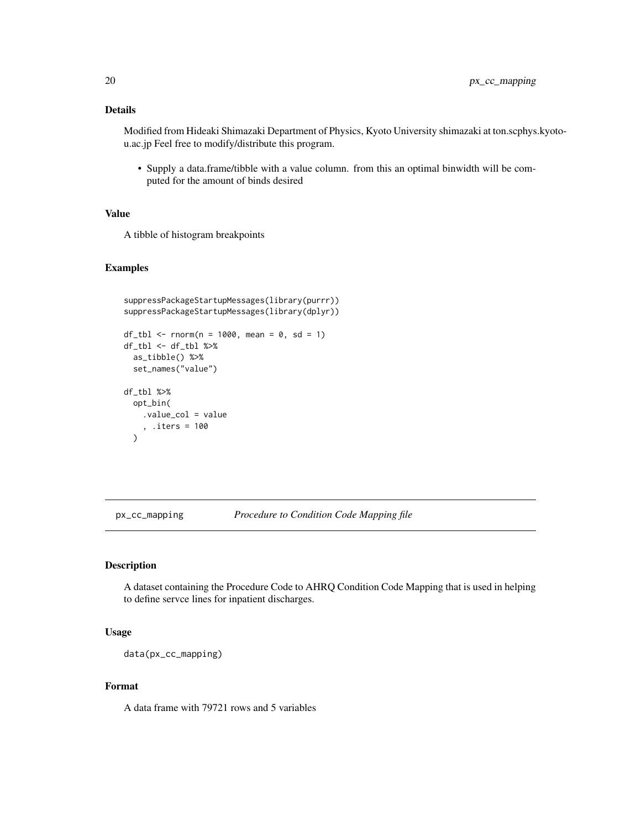<span id="page-19-0"></span>Modified from Hideaki Shimazaki Department of Physics, Kyoto University shimazaki at ton.scphys.kyotou.ac.jp Feel free to modify/distribute this program.

• Supply a data.frame/tibble with a value column. from this an optimal binwidth will be computed for the amount of binds desired

# Value

A tibble of histogram breakpoints

#### Examples

```
suppressPackageStartupMessages(library(purrr))
suppressPackageStartupMessages(library(dplyr))
df_{tbl} < - rnorm(n = 1000, mean = 0, sd = 1)
df_tbl <- df_tbl %>%
  as_tibble() %>%
  set_names("value")
df_tbl %>%
  opt_bin(
    .value_col = value
    , .iters = 100
  )
```
px\_cc\_mapping *Procedure to Condition Code Mapping file*

#### Description

A dataset containing the Procedure Code to AHRQ Condition Code Mapping that is used in helping to define servce lines for inpatient discharges.

# Usage

data(px\_cc\_mapping)

#### Format

A data frame with 79721 rows and 5 variables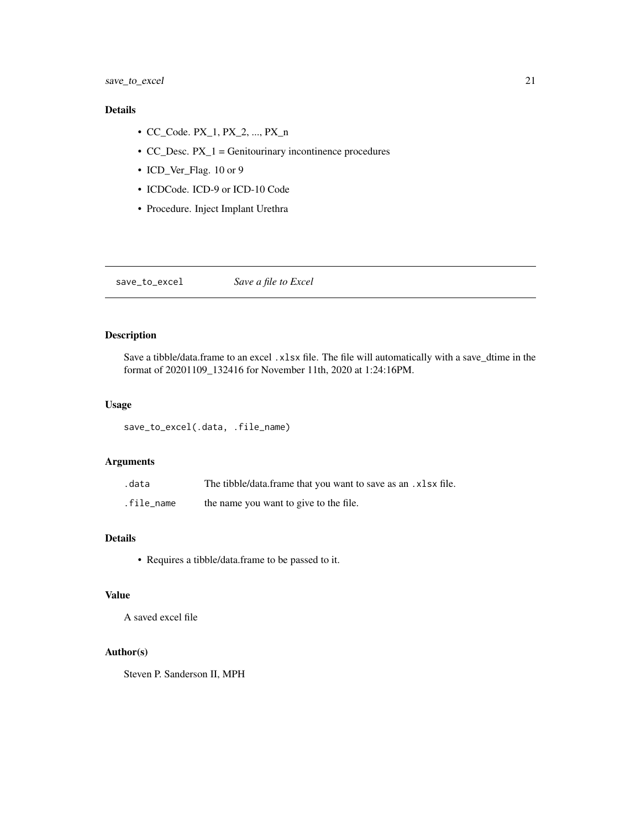- <span id="page-20-0"></span>• CC\_Code. PX\_1, PX\_2, ..., PX\_n
- CC\_Desc.  $PX_1$  = Genitourinary incontinence procedures
- ICD\_Ver\_Flag. 10 or 9
- ICDCode. ICD-9 or ICD-10 Code
- Procedure. Inject Implant Urethra

<span id="page-20-1"></span>save\_to\_excel *Save a file to Excel*

# Description

Save a tibble/data.frame to an excel .xlsx file. The file will automatically with a save\_dtime in the format of 20201109\_132416 for November 11th, 2020 at 1:24:16PM.

# Usage

save\_to\_excel(.data, .file\_name)

#### Arguments

| .data      | The tibble/data.frame that you want to save as an .xlsx file. |
|------------|---------------------------------------------------------------|
| .file name | the name you want to give to the file.                        |

# Details

• Requires a tibble/data.frame to be passed to it.

# Value

A saved excel file

#### Author(s)

Steven P. Sanderson II, MPH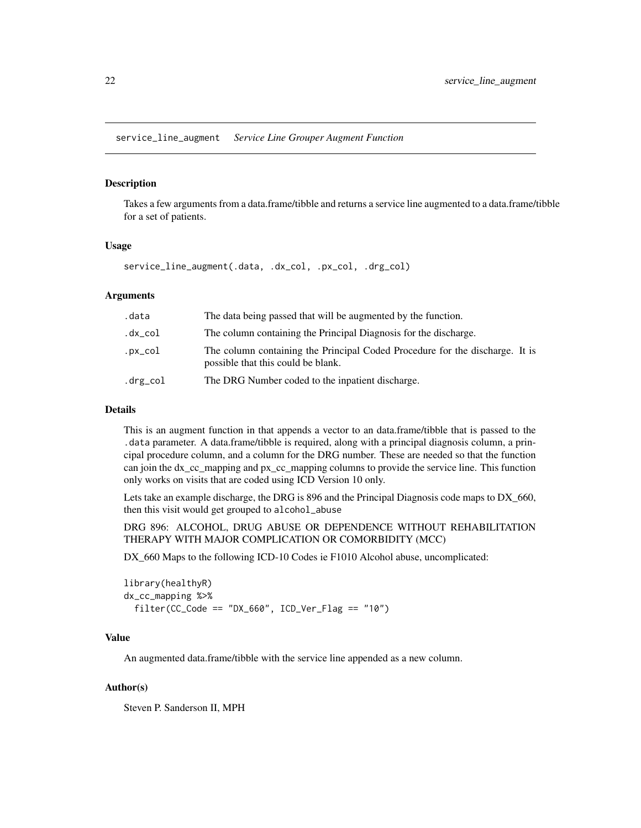<span id="page-21-0"></span>service\_line\_augment *Service Line Grouper Augment Function*

# Description

Takes a few arguments from a data.frame/tibble and returns a service line augmented to a data.frame/tibble for a set of patients.

#### Usage

```
service_line_augment(.data, .dx_col, .px_col, .drg_col)
```
#### Arguments

| .data    | The data being passed that will be augmented by the function.                                                      |
|----------|--------------------------------------------------------------------------------------------------------------------|
| .dx_col  | The column containing the Principal Diagnosis for the discharge.                                                   |
| .px_col  | The column containing the Principal Coded Procedure for the discharge. It is<br>possible that this could be blank. |
| .drg_col | The DRG Number coded to the inpatient discharge.                                                                   |

# Details

This is an augment function in that appends a vector to an data.frame/tibble that is passed to the .data parameter. A data.frame/tibble is required, along with a principal diagnosis column, a principal procedure column, and a column for the DRG number. These are needed so that the function can join the dx\_cc\_mapping and px\_cc\_mapping columns to provide the service line. This function only works on visits that are coded using ICD Version 10 only.

Lets take an example discharge, the DRG is 896 and the Principal Diagnosis code maps to DX\_660, then this visit would get grouped to alcohol\_abuse

DRG 896: ALCOHOL, DRUG ABUSE OR DEPENDENCE WITHOUT REHABILITATION THERAPY WITH MAJOR COMPLICATION OR COMORBIDITY (MCC)

DX\_660 Maps to the following ICD-10 Codes ie F1010 Alcohol abuse, uncomplicated:

```
library(healthyR)
dx_cc_mapping %>%
  filter(CC_Code == "DX_660", ICD_Ver_Flag == "10")
```
# Value

An augmented data.frame/tibble with the service line appended as a new column.

#### Author(s)

Steven P. Sanderson II, MPH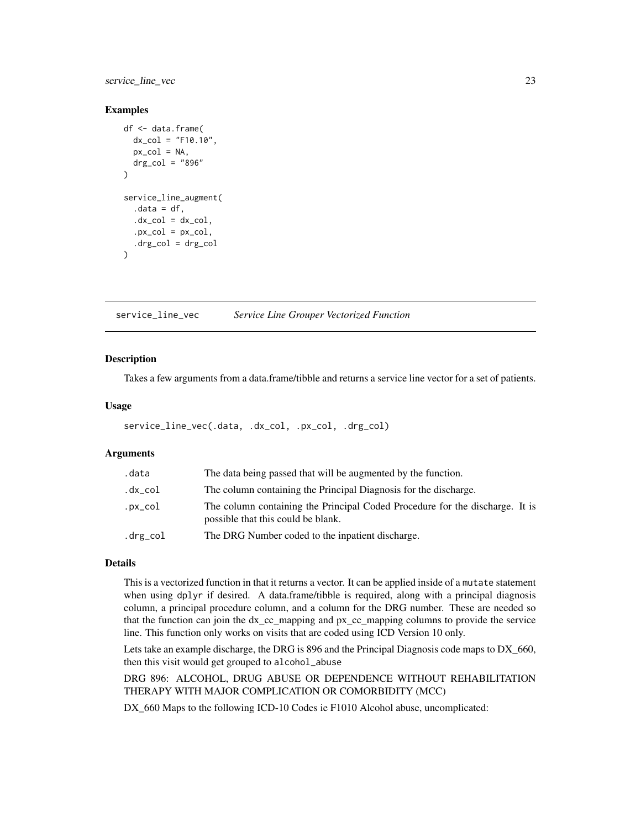<span id="page-22-0"></span>service\_line\_vec 23

#### Examples

```
df <- data.frame(
  dx_{col} = "F10.10",px\_col = NA,
  drg_{col} = "896")
service_line_augment(
  data = df,
  .dx\_col = dx\_col,px\_col = px\_col,.drg\_col = drg\_col\mathcal{L}
```
service\_line\_vec *Service Line Grouper Vectorized Function*

#### Description

Takes a few arguments from a data.frame/tibble and returns a service line vector for a set of patients.

#### Usage

```
service_line_vec(.data, .dx_col, .px_col, .drg_col)
```
# Arguments

| .data    | The data being passed that will be augmented by the function.                                                      |
|----------|--------------------------------------------------------------------------------------------------------------------|
| .dx_col  | The column containing the Principal Diagnosis for the discharge.                                                   |
| .px_col  | The column containing the Principal Coded Procedure for the discharge. It is<br>possible that this could be blank. |
| .drg_col | The DRG Number coded to the inpatient discharge.                                                                   |

### Details

This is a vectorized function in that it returns a vector. It can be applied inside of a mutate statement when using dplyr if desired. A data.frame/tibble is required, along with a principal diagnosis column, a principal procedure column, and a column for the DRG number. These are needed so that the function can join the dx\_cc\_mapping and px\_cc\_mapping columns to provide the service line. This function only works on visits that are coded using ICD Version 10 only.

Lets take an example discharge, the DRG is 896 and the Principal Diagnosis code maps to DX\_660, then this visit would get grouped to alcohol\_abuse

DRG 896: ALCOHOL, DRUG ABUSE OR DEPENDENCE WITHOUT REHABILITATION THERAPY WITH MAJOR COMPLICATION OR COMORBIDITY (MCC)

DX\_660 Maps to the following ICD-10 Codes ie F1010 Alcohol abuse, uncomplicated: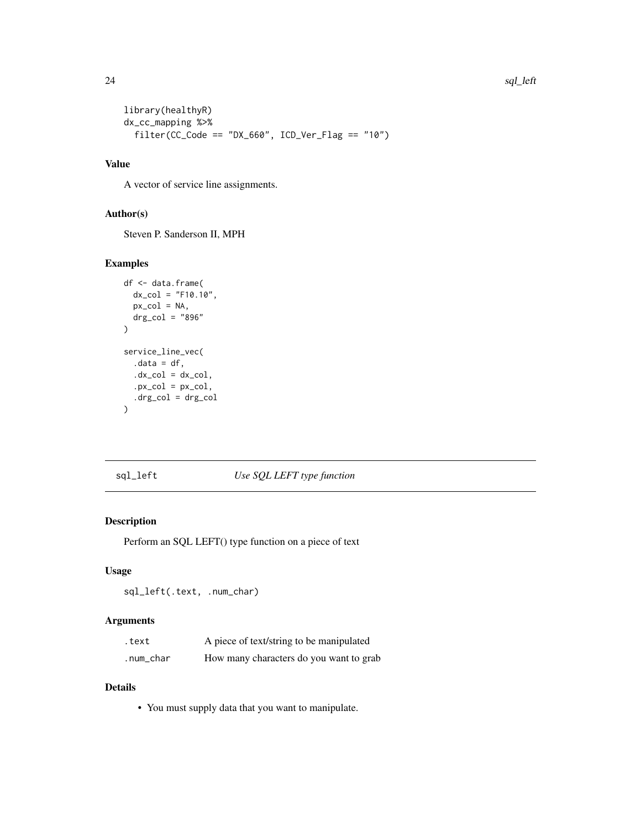```
library(healthyR)
dx_cc_mapping %>%
  filter(CC\_Code == "DX_660", ICD\_Ver_Flag == "10")
```
# Value

A vector of service line assignments.

# Author(s)

Steven P. Sanderson II, MPH

# Examples

```
df <- data.frame(
 dx_{\text{col}} = "F10.10",px\_col = NA,
 drg_{col} = "896"\lambdaservice_line_vec(
  data = df,.dx\_col = dx\_col,px\_col = px\_col,.drg\_col = drg\_col\mathcal{L}
```
#### sql\_left *Use SQL LEFT type function*

#### Description

Perform an SQL LEFT() type function on a piece of text

#### Usage

sql\_left(.text, .num\_char)

# Arguments

| .text     | A piece of text/string to be manipulated |
|-----------|------------------------------------------|
| .num_char | How many characters do you want to grab  |

# Details

• You must supply data that you want to manipulate.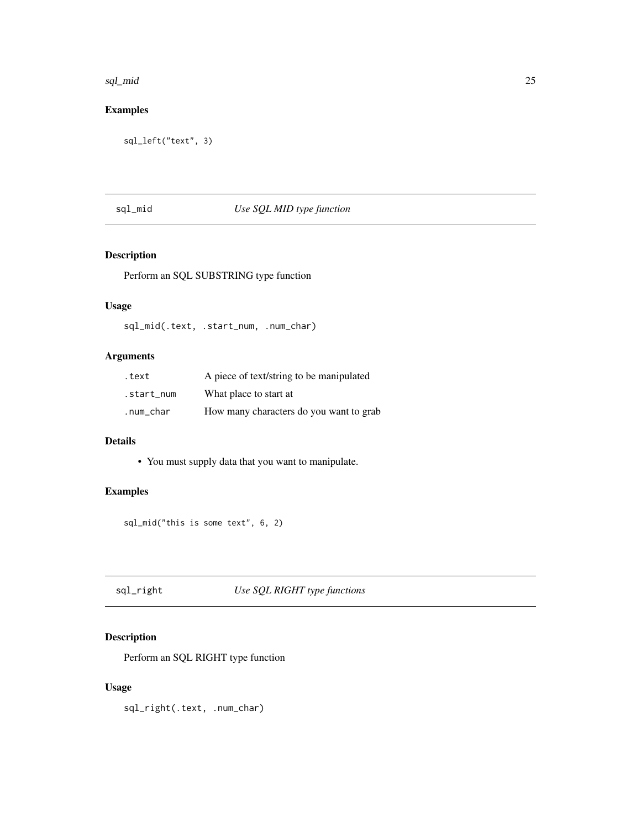#### <span id="page-24-0"></span>sql\_mid 25

# Examples

```
sql_left("text", 3)
```
# sql\_mid *Use SQL MID type function*

# Description

Perform an SQL SUBSTRING type function

# Usage

sql\_mid(.text, .start\_num, .num\_char)

# Arguments

| .text      | A piece of text/string to be manipulated |
|------------|------------------------------------------|
| .start num | What place to start at                   |
| .num_char  | How many characters do you want to grab  |

# Details

• You must supply data that you want to manipulate.

# Examples

sql\_mid("this is some text", 6, 2)

# sql\_right *Use SQL RIGHT type functions*

# Description

Perform an SQL RIGHT type function

# Usage

sql\_right(.text, .num\_char)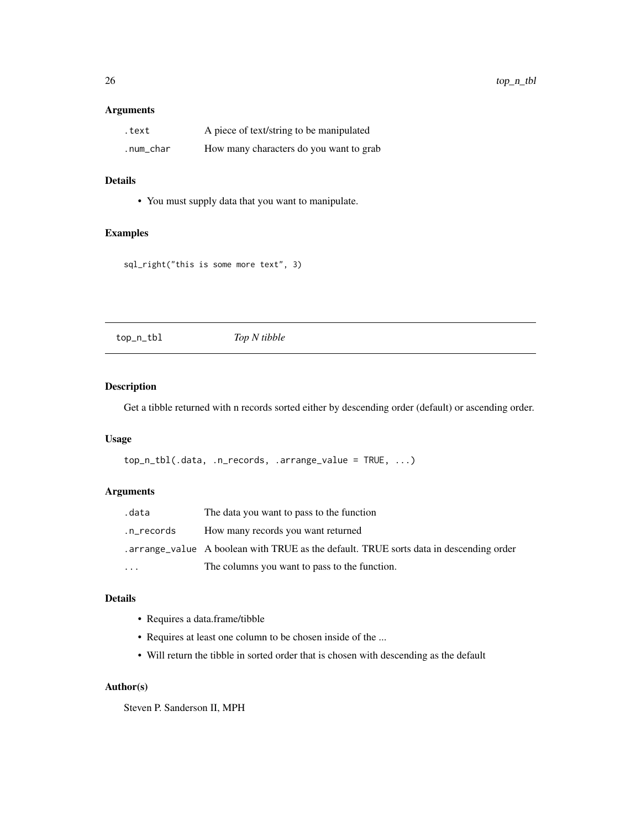#### <span id="page-25-0"></span>Arguments

| .text     | A piece of text/string to be manipulated |
|-----------|------------------------------------------|
| .num_char | How many characters do you want to grab  |

# Details

• You must supply data that you want to manipulate.

# Examples

```
sql_right("this is some more text", 3)
```
top\_n\_tbl *Top N tibble*

# Description

Get a tibble returned with n records sorted either by descending order (default) or ascending order.

#### Usage

```
top_n_tbl(.data, .n_records, .arrange_value = TRUE, ...)
```
# Arguments

| .data      | The data you want to pass to the function                                             |
|------------|---------------------------------------------------------------------------------------|
| .n_records | How many records you want returned                                                    |
|            | arrange_value A boolean with TRUE as the default. TRUE sorts data in descending order |
| $\ddotsc$  | The columns you want to pass to the function.                                         |

#### Details

- Requires a data.frame/tibble
- Requires at least one column to be chosen inside of the ...
- Will return the tibble in sorted order that is chosen with descending as the default

#### Author(s)

Steven P. Sanderson II, MPH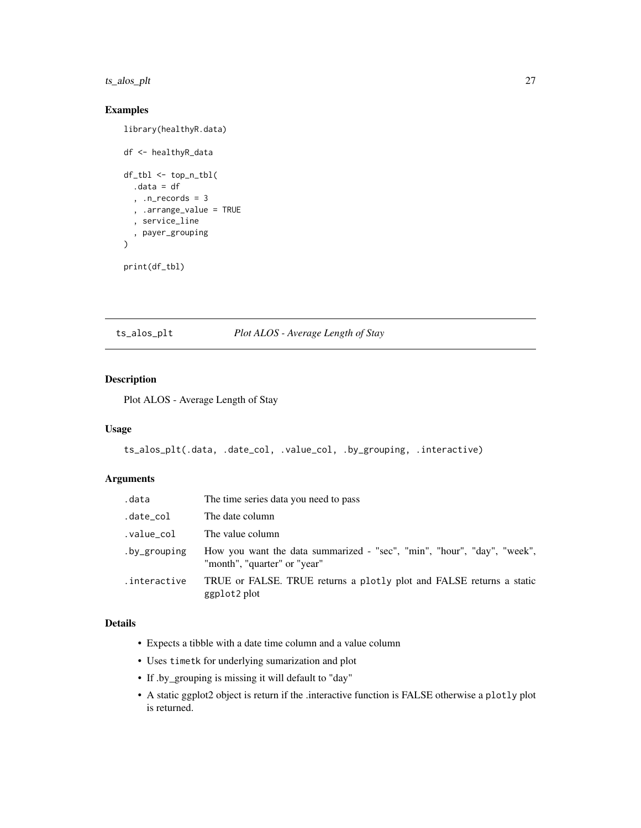<span id="page-26-0"></span>ts\_alos\_plt 27

# Examples

```
library(healthyR.data)
df <- healthyR_data
df_tbl <- top_n_tbl(
  .data = df
  , .n_records = 3
  , .arrange_value = TRUE
  , service_line
  , payer_grouping
\mathcal{L}print(df_tbl)
```
ts\_alos\_plt *Plot ALOS - Average Length of Stay*

# Description

Plot ALOS - Average Length of Stay

#### Usage

```
ts_alos_plt(.data, .date_col, .value_col, .by_grouping, .interactive)
```
# Arguments

| .data        | The time series data you need to pass                                                                   |
|--------------|---------------------------------------------------------------------------------------------------------|
| .date_col    | The date column                                                                                         |
| .value_col   | The value column                                                                                        |
| .by_grouping | How you want the data summarized - "sec", "min", "hour", "day", "week",<br>"month", "quarter" or "year" |
| .interactive | TRUE or FALSE. TRUE returns a plotly plot and FALSE returns a static<br>ggplot2 plot                    |

# Details

- Expects a tibble with a date time column and a value column
- Uses timetk for underlying sumarization and plot
- If .by\_grouping is missing it will default to "day"
- A static ggplot2 object is return if the .interactive function is FALSE otherwise a plotly plot is returned.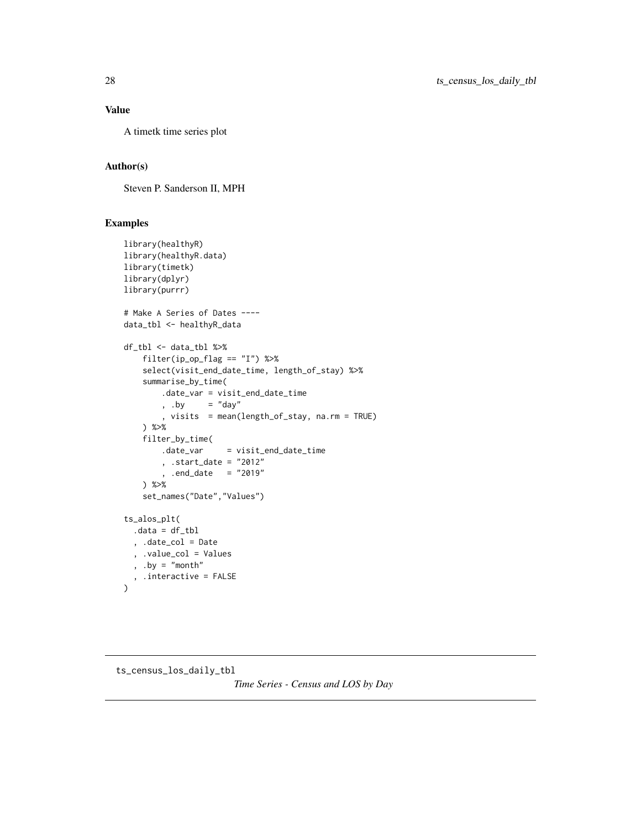# <span id="page-27-0"></span>Value

A timetk time series plot

# Author(s)

Steven P. Sanderson II, MPH

# Examples

```
library(healthyR)
library(healthyR.data)
library(timetk)
library(dplyr)
library(purrr)
# Make A Series of Dates ----
data_tbl <- healthyR_data
df_tbl <- data_tbl %>%
    filter(ip_op_flag == "I") %>%
    select(visit_end_date_time, length_of_stay) %>%
    summarise_by_time(
        .date_var = visit_end_date_time
       , .by = "day"
        , visits = mean(length_of_stay, na.rm = TRUE)
    ) %>%
    filter_by_time(
       .date_var = visit_end_date_time
        , .start_date = "2012"
        , .end_date = "2019"
    ) %>%
    set_names("Date","Values")
ts_alos_plt(
  .data = df_tbl, .date_col = Date
  , .value_col = Values
  , .by = "month", .interactive = FALSE
\mathcal{L}
```
# ts\_census\_los\_daily\_tbl

*Time Series - Census and LOS by Day*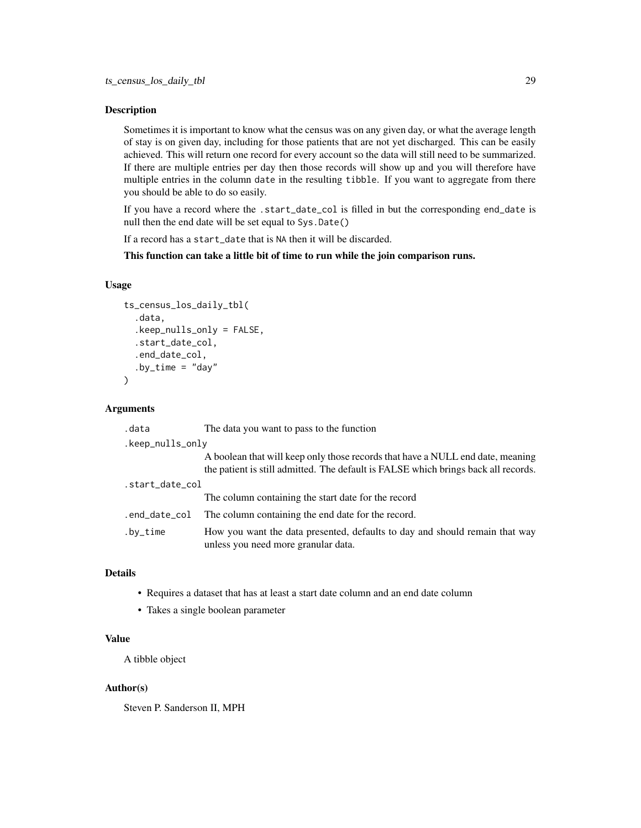#### Description

Sometimes it is important to know what the census was on any given day, or what the average length of stay is on given day, including for those patients that are not yet discharged. This can be easily achieved. This will return one record for every account so the data will still need to be summarized. If there are multiple entries per day then those records will show up and you will therefore have multiple entries in the column date in the resulting tibble. If you want to aggregate from there you should be able to do so easily.

If you have a record where the .start\_date\_col is filled in but the corresponding end\_date is null then the end date will be set equal to Sys.Date()

If a record has a start\_date that is NA then it will be discarded.

This function can take a little bit of time to run while the join comparison runs.

#### Usage

```
ts_census_los_daily_tbl(
  .data,
  .keep_nulls_only = FALSE,
  .start_date_col,
  .end_date_col,
  .by_time = "day"
)
```
# **Arguments**

| .data            | The data you want to pass to the function                                                                                                                            |  |
|------------------|----------------------------------------------------------------------------------------------------------------------------------------------------------------------|--|
| .keep_nulls_only |                                                                                                                                                                      |  |
|                  | A boolean that will keep only those records that have a NULL end date, meaning<br>the patient is still admitted. The default is FALSE which brings back all records. |  |
| .start_date_col  |                                                                                                                                                                      |  |
|                  | The column containing the start date for the record                                                                                                                  |  |
| .end_date_col    | The column containing the end date for the record.                                                                                                                   |  |
| $.bv_time$       | How you want the data presented, defaults to day and should remain that way<br>unless you need more granular data.                                                   |  |

# Details

- Requires a dataset that has at least a start date column and an end date column
- Takes a single boolean parameter

# Value

A tibble object

#### Author(s)

Steven P. Sanderson II, MPH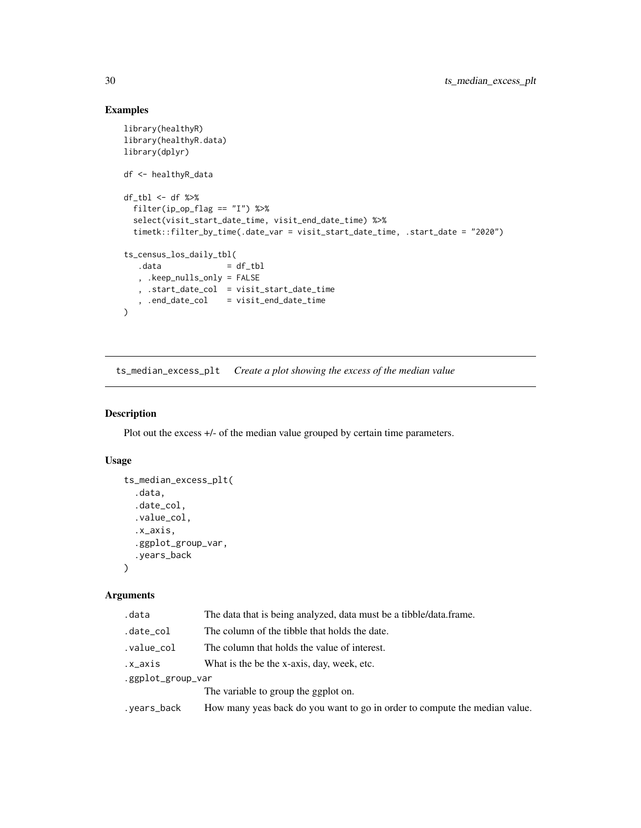# Examples

```
library(healthyR)
library(healthyR.data)
library(dplyr)
df <- healthyR_data
df_tbl <- df %>%
  filter(ip_op_flag == "I") %>%
  select(visit_start_date_time, visit_end_date_time) %>%
  timetk::filter_by_time(.date_var = visit_start_date_time, .start_date = "2020")
ts_census_los_daily_tbl(<br>.data = 0
                     = df_tbl
   , .keep_nulls_only = FALSE
  , .start_date_col = visit_start_date_time
   , .end_date_col = visit_end_date_time
\lambda
```
ts\_median\_excess\_plt *Create a plot showing the excess of the median value*

# Description

Plot out the excess  $+/-$  of the median value grouped by certain time parameters.

#### Usage

```
ts_median_excess_plt(
  .data,
  .date_col,
  .value_col,
  .x_axis,
  .ggplot_group_var,
  .years_back
\lambda
```
#### Arguments

| .data             | The data that is being analyzed, data must be a tibble/data.frame.         |  |
|-------------------|----------------------------------------------------------------------------|--|
| .date_col         | The column of the tibble that holds the date.                              |  |
| .value_col        | The column that holds the value of interest.                               |  |
| .x_axis           | What is the be the x-axis, day, week, etc.                                 |  |
| .ggplot_group_var |                                                                            |  |
|                   | The variable to group the ggplot on.                                       |  |
| .years_back       | How many yeas back do you want to go in order to compute the median value. |  |
|                   |                                                                            |  |

<span id="page-29-0"></span>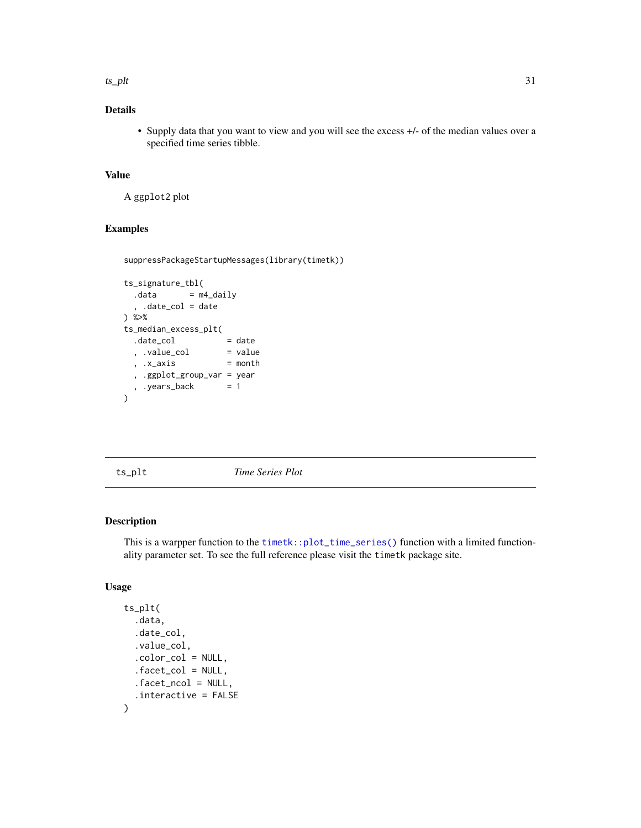<span id="page-30-0"></span> $t$ s\_plt  $\frac{31}{2}$ 

# Details

• Supply data that you want to view and you will see the excess +/- of the median values over a specified time series tibble.

# Value

A ggplot2 plot

#### Examples

```
suppressPackageStartupMessages(library(timetk))
```

```
ts_signature_tbl(
 data = m4\_daily, .date_col = date
) %>%
ts_median_excess_plt(
 \cdot date_col = date
 , .value_col = value
 , .x_axis = month
 , .ggplot_group_var = year
 , .years_back = 1\mathcal{L}
```
ts\_plt *Time Series Plot*

#### Description

This is a warpper function to the [timetk::plot\\_time\\_series\(\)](#page-0-0) function with a limited functionality parameter set. To see the full reference please visit the timetk package site.

# Usage

```
ts_plt(
  .data,
  .date_col,
  .value_col,
  .color_col = NULL,
  .facet_col = NULL,
  .facet_ncol = NULL,
  .interactive = FALSE
\mathcal{E}
```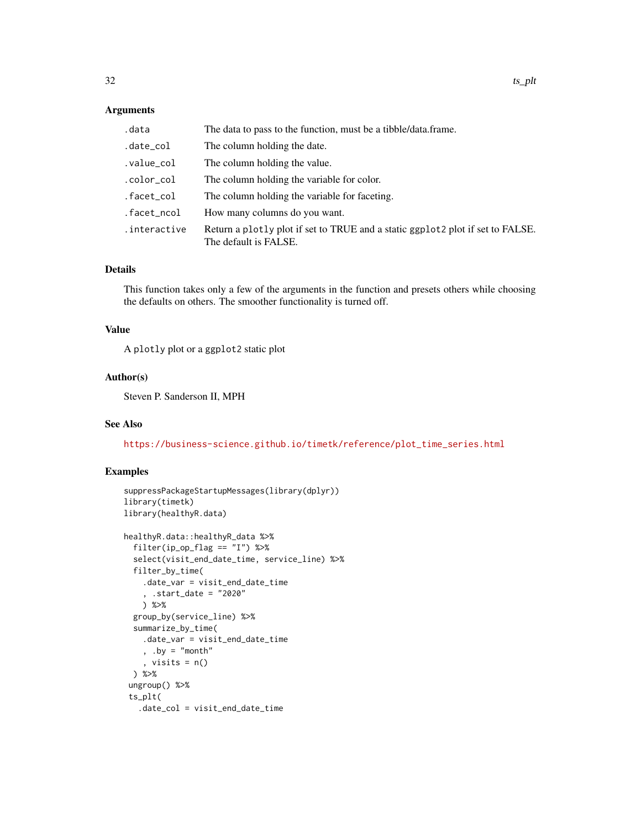#### Arguments

| .data        | The data to pass to the function, must be a tibble/data.frame.                                          |
|--------------|---------------------------------------------------------------------------------------------------------|
| .date_col    | The column holding the date.                                                                            |
| .value_col   | The column holding the value.                                                                           |
| .color_col   | The column holding the variable for color.                                                              |
| .facet_col   | The column holding the variable for faceting.                                                           |
| .facet_ncol  | How many columns do you want.                                                                           |
| .interactive | Return a plotly plot if set to TRUE and a static ggplot2 plot if set to FALSE.<br>The default is FALSE. |

#### Details

This function takes only a few of the arguments in the function and presets others while choosing the defaults on others. The smoother functionality is turned off.

#### Value

A plotly plot or a ggplot2 static plot

#### Author(s)

Steven P. Sanderson II, MPH

# See Also

[https://business-science.github.io/timetk/reference/plot\\_time\\_series.html](https://business-science.github.io/timetk/reference/plot_time_series.html)

# Examples

```
suppressPackageStartupMessages(library(dplyr))
library(timetk)
library(healthyR.data)
healthyR.data::healthyR_data %>%
  filter(ip_op_flag == "I") %>%
  select(visit_end_date_time, service_line) %>%
  filter_by_time(
    .date_var = visit_end_date_time
    , .start_date = "2020"
   ) %>%
  group_by(service_line) %>%
  summarize_by_time(
    .date_var = visit_end_date_time
    , .by = "month"
    , visits = n()
  ) %>%
 ungroup() %>%
 ts_plt(
   .date_col = visit_end_date_time
```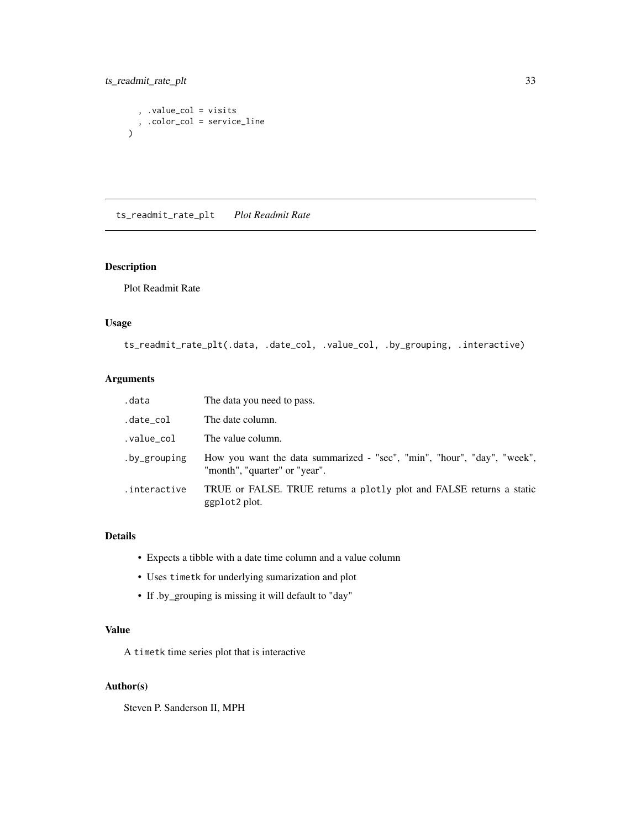# <span id="page-32-0"></span>ts\_readmit\_rate\_plt 33

```
, .value_col = visits
  , .color_col = service_line
\mathcal{L}
```
ts\_readmit\_rate\_plt *Plot Readmit Rate*

# Description

Plot Readmit Rate

# Usage

ts\_readmit\_rate\_plt(.data, .date\_col, .value\_col, .by\_grouping, .interactive)

# Arguments

| .data        | The data you need to pass.                                                                               |
|--------------|----------------------------------------------------------------------------------------------------------|
| .date_col    | The date column.                                                                                         |
| .value_col   | The value column.                                                                                        |
| .by_grouping | How you want the data summarized - "sec", "min", "hour", "day", "week",<br>"month", "quarter" or "year". |
| .interactive | TRUE or FALSE. TRUE returns a plotly plot and FALSE returns a static<br>ggplot2 plot.                    |

# Details

- Expects a tibble with a date time column and a value column
- Uses timetk for underlying sumarization and plot
- If .by\_grouping is missing it will default to "day"

# Value

A timetk time series plot that is interactive

# Author(s)

Steven P. Sanderson II, MPH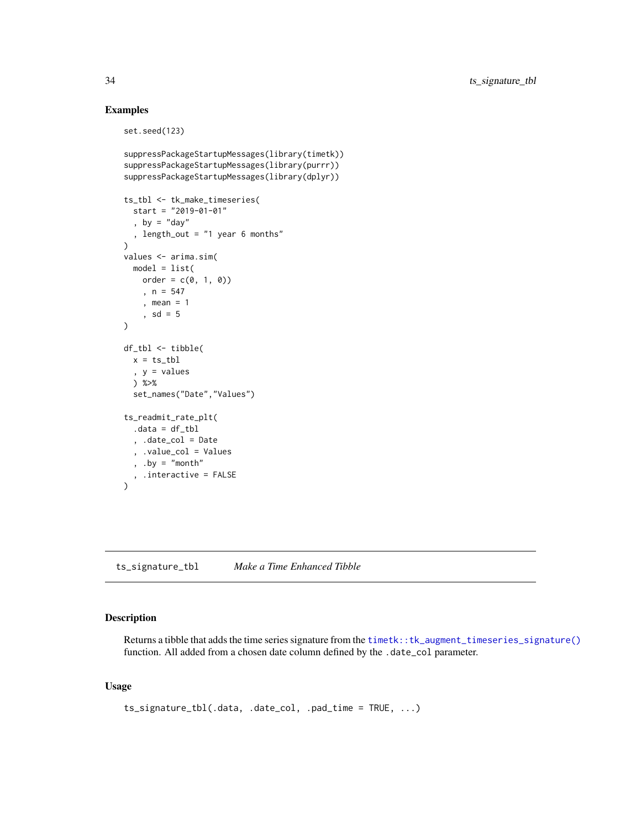# Examples

```
set.seed(123)
suppressPackageStartupMessages(library(timetk))
suppressPackageStartupMessages(library(purrr))
suppressPackageStartupMessages(library(dplyr))
ts_tbl <- tk_make_timeseries(
  start = "2019-01-01"
  , by = "day", length_out = "1 year 6 months"
\lambdavalues <- arima.sim(
 model = list(order = c(0, 1, 0), n = 547
    , mean = 1, sd = 5)
df_tbl <- tibble(
  x = ts_tbl
  , y = values
  ) %>%
  set_names("Date","Values")
ts_readmit_rate_plt(
  .data = df_tbl
  , .date_col = Date
  , .value_col = Values
  , .by = "month", .interactive = FALSE
)
```
ts\_signature\_tbl *Make a Time Enhanced Tibble*

#### Description

Returns a tibble that adds the time series signature from the [timetk::tk\\_augment\\_timeseries\\_signature\(\)](#page-0-0) function. All added from a chosen date column defined by the .date\_col parameter.

# Usage

```
ts_signature_tbl(.data, .date_col, .pad_time = TRUE, ...)
```
<span id="page-33-0"></span>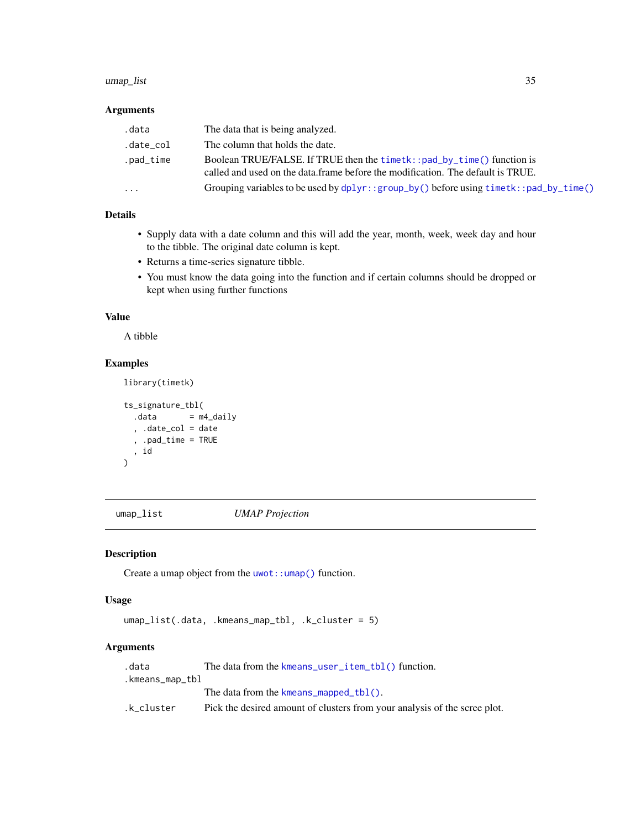#### <span id="page-34-0"></span>umap\_list 35

# Arguments

| .data     | The data that is being analyzed.                                                                                                                          |
|-----------|-----------------------------------------------------------------------------------------------------------------------------------------------------------|
| .date_col | The column that holds the date.                                                                                                                           |
| .pad_time | Boolean TRUE/FALSE. If TRUE then the timetk::pad_by_time() function is<br>called and used on the data frame before the modification. The default is TRUE. |
| $\cdot$   | Grouping variables to be used by $dplyr$ : : $group_by()$ before using $timetk$ : : $pad_by_time()$                                                       |

# Details

- Supply data with a date column and this will add the year, month, week, week day and hour to the tibble. The original date column is kept.
- Returns a time-series signature tibble.
- You must know the data going into the function and if certain columns should be dropped or kept when using further functions

### Value

A tibble

# Examples

```
library(timetk)
```

```
ts_signature_tbl(
  data = m4\_daily, .date_col = date
  , .pad_time = TRUE
  , id
\overline{\phantom{a}}
```
<span id="page-34-1"></span>umap\_list *UMAP Projection*

# Description

Create a umap object from the [uwot::umap\(\)](#page-0-0) function.

#### Usage

umap\_list(.data, .kmeans\_map\_tbl, .k\_cluster = 5)

# Arguments

| .data           | The data from the $km$ eans_user_item_tbl() function.                     |
|-----------------|---------------------------------------------------------------------------|
| .kmeans_map_tbl |                                                                           |
|                 | The data from the kmeans $\text{mapped}_t(b)$ .                           |
| .k cluster      | Pick the desired amount of clusters from your analysis of the scree plot. |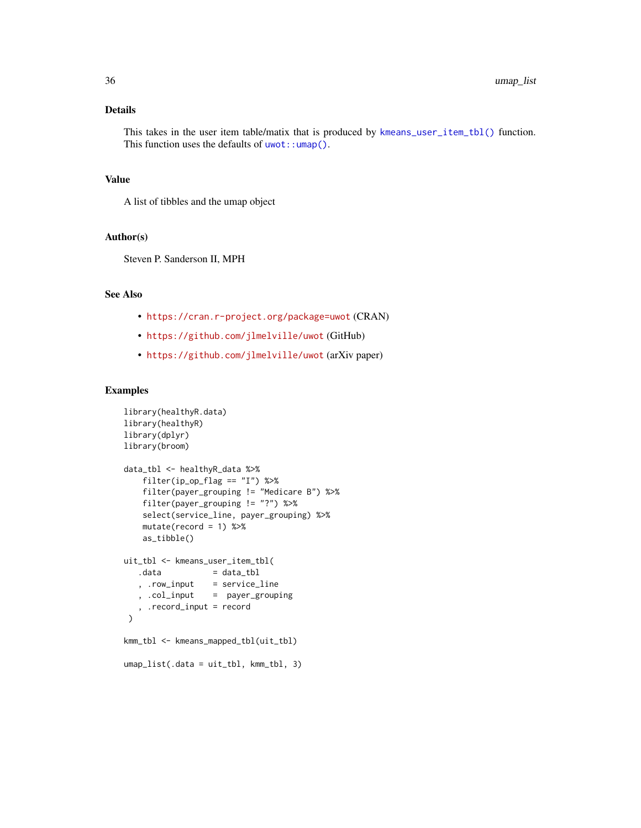<span id="page-35-0"></span>This takes in the user item table/matix that is produced by [kmeans\\_user\\_item\\_tbl\(\)](#page-13-1) function. This function uses the defaults of  $u$ wot:: $umap()$ .

# Value

A list of tibbles and the umap object

#### Author(s)

Steven P. Sanderson II, MPH

# See Also

- <https://cran.r-project.org/package=uwot> (CRAN)
- <https://github.com/jlmelville/uwot> (GitHub)
- <https://github.com/jlmelville/uwot> (arXiv paper)

#### Examples

```
library(healthyR.data)
library(healthyR)
library(dplyr)
library(broom)
data_tbl <- healthyR_data %>%
    filter(ip_op_flag == "I") %>%
   filter(payer_grouping != "Medicare B") %>%
   filter(payer_grouping != "?") %>%
   select(service_line, payer_grouping) %>%
   mutate(record = 1) %as_tibble()
uit_tbl <- kmeans_user_item_tbl(
  data = data_tbl
   , .row_input = service_line
   , .col_input = payer_grouping
   , .record_input = record
 )
kmm_tbl <- kmeans_mapped_tbl(uit_tbl)
umap_list(.data = uit_tbl, kmm_tbl, 3)
```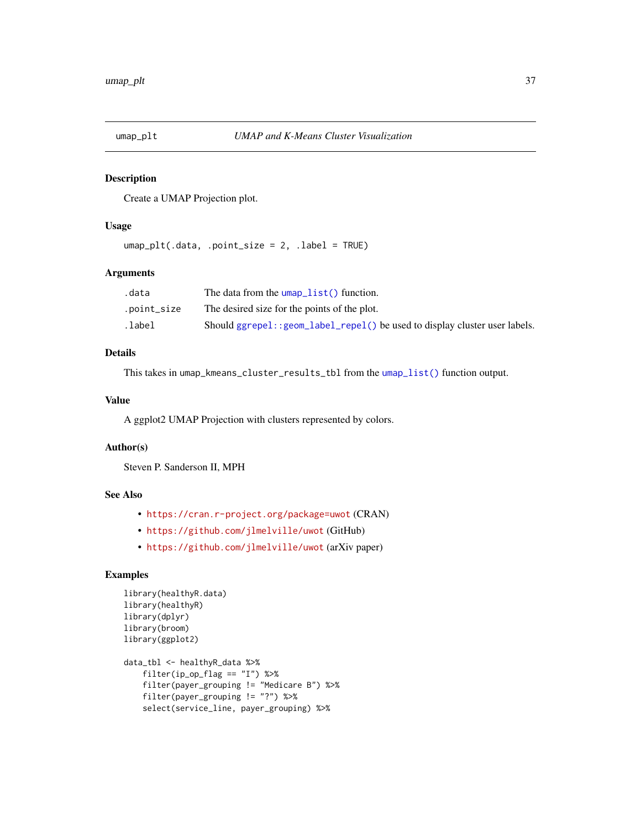<span id="page-36-0"></span>

# Description

Create a UMAP Projection plot.

#### Usage

umap\_plt(.data, .point\_size = 2, .label = TRUE)

# Arguments

| .data       | The data from the $\mu$ umap $\text{list}()$ function.                      |
|-------------|-----------------------------------------------------------------------------|
| .point_size | The desired size for the points of the plot.                                |
| .label.     | Should ggrepel:: geom_label_repel() be used to display cluster user labels. |

#### Details

This takes in umap\_kmeans\_cluster\_results\_tbl from the [umap\\_list\(\)](#page-34-1) function output.

#### Value

A ggplot2 UMAP Projection with clusters represented by colors.

#### Author(s)

Steven P. Sanderson II, MPH

#### See Also

- <https://cran.r-project.org/package=uwot> (CRAN)
- <https://github.com/jlmelville/uwot> (GitHub)
- <https://github.com/jlmelville/uwot> (arXiv paper)

# Examples

```
library(healthyR.data)
library(healthyR)
library(dplyr)
library(broom)
library(ggplot2)
data_tbl <- healthyR_data %>%
    filter(ip_op_flag == "I") %>%
    filter(payer_grouping != "Medicare B") %>%
    filter(payer_grouping != "?") %>%
    select(service_line, payer_grouping) %>%
```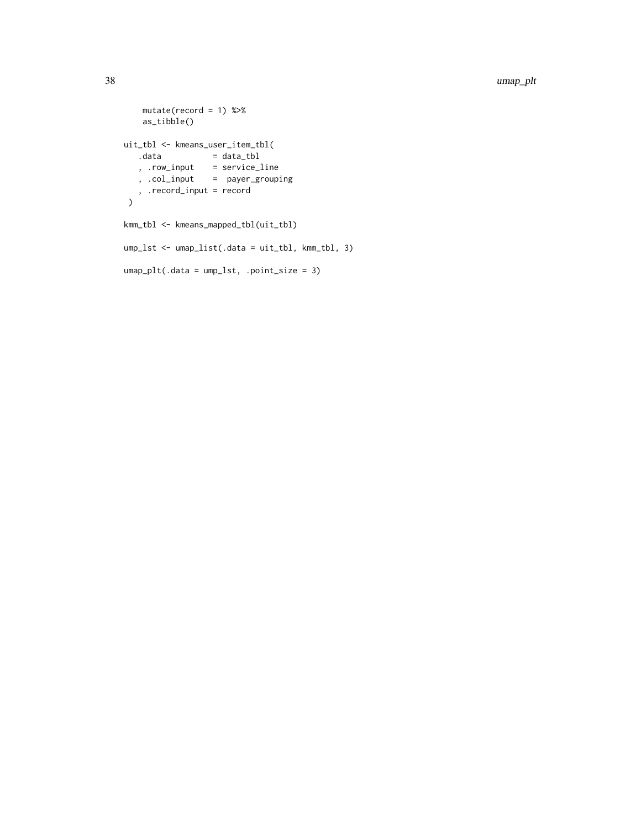```
mutate(record = 1) %>%
   as_tibble()
uit_tbl <- kmeans_user_item_tbl(
  data = data_tbl
  , .row_input = service_line
  , .col_input = payer_grouping
   , .record_input = record
 )
kmm_tbl <- kmeans_mapped_tbl(uit_tbl)
ump_lst <- umap_list(.data = uit_tbl, kmm_tbl, 3)
umap_plt(.data = ump_lst, .point_size = 3)
```